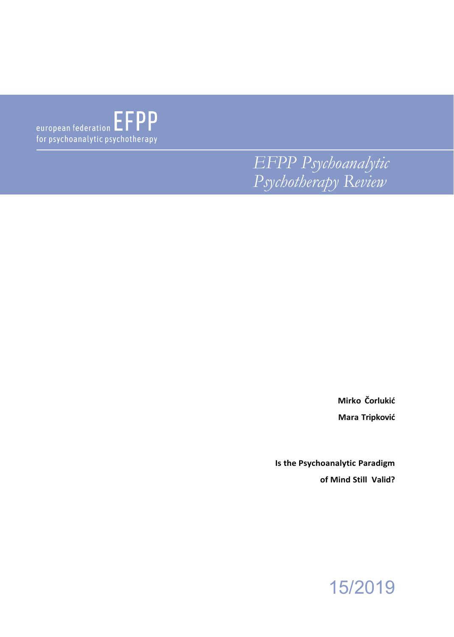$\begin{tabular}{c} \bf \end{tabular} \begin{tabular}{l} \bf \end{tabular} \begin{tabular}{l} \bf \end{tabular} \begin{tabular}{l} \bf \end{tabular} \begin{tabular}{l} \bf \end{tabular} \begin{tabular}{l} \bf \end{tabular} \begin{tabular}{l} \bf \end{tabular} \begin{tabular}{l} \bf \end{tabular} \begin{tabular}{l} \bf \end{tabular} \begin{tabular}{l} \bf \end{tabular} \end{tabular} \begin{tabular}{l} \bf \end{tabular} \begin{tabular}{l} \bf \end{tabular} \begin{tabular}{l} \bf \end{tabular} \begin{tabular}{$ for psychoanalytic psychotherapy

> *EFPP Psychoanalytic Psychotherapy Review*

> > **Mirko Čorlukić Mara Tripković**

**Is the Psychoanalytic Paradigm of Mind Still Valid?**

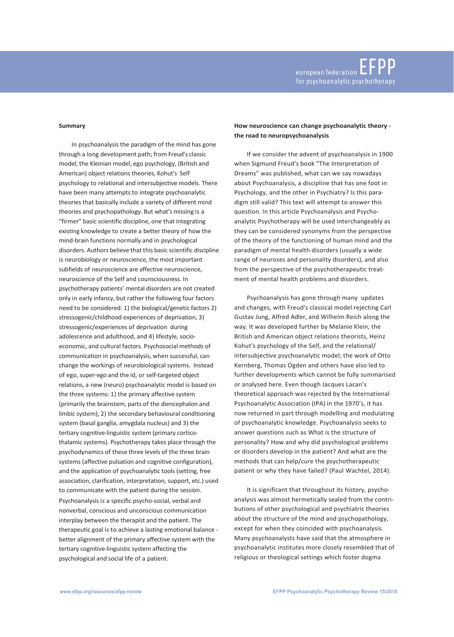#### **Summary**

In psychoanalysis the paradigm of the mind has gone through a long development path; from Freud's classic model, the Kleinian model, ego psychology, (British and American) object relations theories, Kohut's Self psychology to relational and intersubjective models. There have been many attempts to integrate psychoanalytic theories that basically include a variety of different mind theories and psychopathology. But what's missing is a "firmer" basic scientific discipline, one that integrating existing knowledge to create a better theory of how the mind-brain functions normally and in psychological disorders. Authors believe that this basic scientific discipline is neurobiology or neuroscience, the most important subfields of neuroscience are affective neuroscience, neuroscience of the Self and counsciousness. In psychotherapy patients' mental disorders are not created only in early infancy, but rather the following four factors need to be considered: 1) the biological/genetic factors 2) stressogenic/childhood experiences of deprivation, 3) stressogenic/experiences of deprivation during adolescence and adulthood, and 4) lifestyle, socioeconomic, and cultural factors. Psychosocial methods of communication in psychoanalysis, when successful, can change the workings of neurobiological systems. Instead of ego, super-ego and the id, or self-targeted object relations, a new (neuro) psychoanalytic model is based on the three systems: 1) the primary affective system (primarily the brainstem, parts of the diencephalon and limbic system), 2) the secondary behavioural conditioning system (basal ganglia, amygdala nucleus) and 3) the tertiary cognitive-linguistic system (primary corticothalamic systems). Psychotherapy takes place through the psychodynamics of these three levels of the three brain systems (affective pulsation and cognitive configuration), and the application of psychoanalytic tools (setting, free association, clarification, interpretation, support, etc.) used to communicate with the patient during the session. Psychoanalysis is a specific psycho-social, verbal and nonverbal, conscious and unconscious communication interplay between the therapist and the patient. The therapeutic goal is to achieve a lasting emotional balance better alignment of the primary affective system with the tertiary cognitive-linguistic system affecting the psychological and social life of a patient.

# **How neuroscience can change psychoanalytic theory the road to neuropsychoanalysis**

If we consider the advent of psychoanalysis in 1900 when Sigmund Freud's book "The Interpretation of Dreams" was published, what can we say nowadays about Psychoanalysis, a discipline that has one foot in Psychology, and the other in Psychiatry? Is this paradigm still valid? This text will attempt to answer this question. In this article Psychoanalysis and Psychoanalytic Psychotherapy will be used interchangeably as they can be considered synonyms from the perspective of the theory of the functioning of human mind and the paradigm of mental health disorders (usually a wide range of neuroses and personality disorders), and also from the perspective of the psychotherapeutic treatment of mental health problems and disorders.

Psychoanalysis has gone through many updates and changes, with Freud's classical model rejecting Carl Gustav Jung, Alfred Adler, and Wilhelm Reich along the way. It was developed further by Melanie Klein, the British and American object relations theorists, Heinz Kohut's psychology of the Self, and the relational/ intersubjective psychoanalytic model; the work of Otto Kernberg, Thomas Ogden and others have also led to further developments which cannot be fully summarised or analysed here. Even though Jacques Lacan's theoretical approach was rejected by the International Psychoanalytic Association (IPA) in the 1970's, it has now returned in part through modelling and modulating of psychoanalytic knowledge. Psychoanalysis seeks to answer questions such as What is the structure of personality? How and why did psychological problems or disorders develop in the patient? And what are the methods that can help/cure the psychotherapeutic patient or why they have failed? (Paul Wachtel, 2014).

It is significant that throughout its history, psychoanalysis was almost hermetically sealed from the contributions of other psychological and psychiatric theories about the structure of the mind and psychopathology, except for when they coincided with psychoanalysis. Many psychoanalysts have said that the atmosphere in psychoanalytic institutes more closely resembled that of religious or theological settings which foster dogma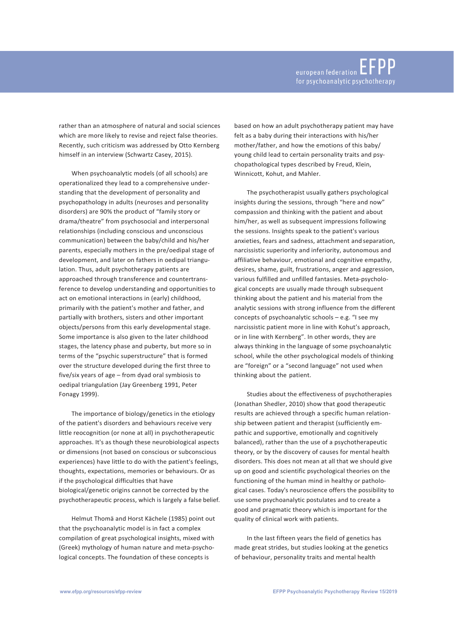rather than an atmosphere of natural and social sciences which are more likely to revise and reject false theories. Recently, such criticism was addressed by Otto Kernberg himself in an interview (Schwartz Casey, 2015).

When psychoanalytic models (of all schools) are operationalized they lead to a comprehensive understanding that the development of personality and psychopathology in adults (neuroses and personality disorders) are 90% the product of "family story or drama/theatre" from psychosocial and interpersonal relationships (including conscious and unconscious communication) between the baby/child and his/her parents, especially mothers in the pre/oedipal stage of development, and later on fathers in oedipal triangulation. Thus, adult psychotherapy patients are approached through transference and countertransference to develop understanding and opportunities to act on emotional interactions in (early) childhood, primarily with the patient's mother and father, and partially with brothers, sisters and other important objects/persons from this early developmental stage. Some importance is also given to the later childhood stages, the latency phase and puberty, but more so in terms of the "psychic superstructure" that is formed over the structure developed during the first three to five/six years of age – from dyad oral symbiosis to oedipal triangulation (Jay Greenberg 1991, Peter Fonagy 1999).

The importance of biology/genetics in the etiology of the patient's disorders and behaviours receive very little reocognition (or none at all) in psychotherapeutic approaches. It's as though these neurobiological aspects or dimensions (not based on conscious or subconscious experiences) have little to do with the patient's feelings, thoughts, expectations, memories or behaviours. Or as if the psychological difficulties that have biological/genetic origins cannot be corrected by the psychotherapeutic process, which is largely a false belief.

Helmut Thomä and Horst Kächele (1985) point out that the psychoanalytic model is in fact a complex compilation of great psychological insights, mixed with (Greek) mythology of human nature and meta-psychological concepts. The foundation of these concepts is

based on how an adult psychotherapy patient may have felt as a baby during their interactions with his/her mother/father, and how the emotions of this baby/ young child lead to certain personality traits and psychopathological types described by Freud, Klein, Winnicott, Kohut, and Mahler.

The psychotherapist usually gathers psychological insights during the sessions, through "here and now" compassion and thinking with the patient and about him/her, as well as subsequent impressions following the sessions. Insights speak to the patient's various anxieties, fears and sadness, attachment and separation, narcissistic superiority and inferiority, autonomous and affiliative behaviour, emotional and cognitive empathy, desires, shame, guilt, frustrations, anger and aggression, various fulfilled and unfilled fantasies. Meta-psychological concepts are usually made through subsequent thinking about the patient and his material from the analytic sessions with strong influence from the different concepts of psychoanalytic schools – e.g. "I see my narcissistic patient more in line with Kohut's approach, or in line with Kernberg". In other words, they are always thinking in the language of some psychoanalytic school, while the other psychological models of thinking are "foreign" or a "second language" not used when thinking about the patient.

Studies about the effectiveness of psychotherapies (Jonathan Shedler, 2010) show that good therapeutic results are achieved through a specific human relationship between patient and therapist (sufficiently empathic and supportive, emotionally and cognitively balanced), rather than the use of a psychotherapeutic theory, or by the discovery of causes for mental health disorders. This does not mean at all that we should give up on good and scientific psychological theories on the functioning of the human mind in healthy or pathological cases. Today's neuroscience offers the possibility to use some psychoanalytic postulates and to create a good and pragmatic theory which is important for the quality of clinical work with patients.

In the last fifteen years the field of genetics has made great strides, but studies looking at the genetics of behaviour, personality traits and mental health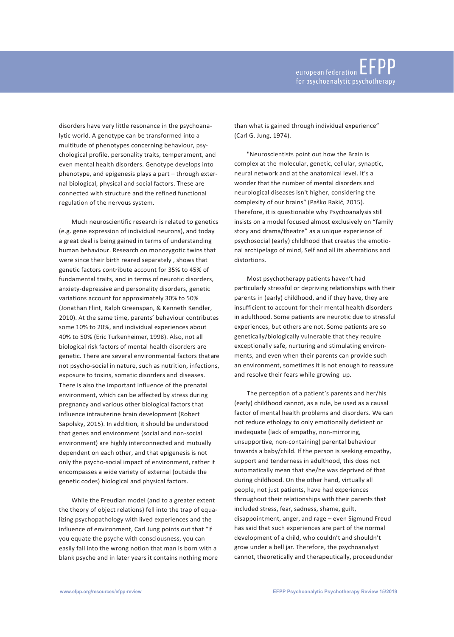disorders have very little resonance in the psychoanalytic world. A genotype can be transformed into a multitude of phenotypes concerning behaviour, psychological profile, personality traits, temperament, and even mental health disorders. Genotype develops into phenotype, and epigenesis plays a part – through external biological, physical and social factors. These are connected with structure and the refined functional regulation of the nervous system.

Much neuroscientific research is related to genetics (e.g. gene expression of individual neurons), and today a great deal is being gained in terms of understanding human behaviour. Research on monozygotic twins that were since their birth reared separately , shows that genetic factors contribute account for 35% to 45% of fundamental traits, and in terms of neurotic disorders, anxiety-depressive and personality disorders, genetic variations account for approximately 30% to 50% (Jonathan Flint, Ralph Greenspan, & Kenneth Kendler, 2010). At the same time, parents' behaviour contributes some 10% to 20%, and individual experiences about 40% to 50% (Eric Turkenheimer, 1998). Also, not all biological risk factors of mental health disorders are genetic. There are several environmental factors thatare not psycho-social in nature, such as nutrition, infections, exposure to toxins, somatic disorders and diseases. There is also the important influence of the prenatal environment, which can be affected by stress during pregnancy and various other biological factors that influence intrauterine brain development (Robert Sapolsky, 2015). In addition, it should be understood that genes and environment (social and non-social environment) are highly interconnected and mutually dependent on each other, and that epigenesis is not only the psycho-social impact of environment, rather it encompasses a wide variety of external (outside the genetic codes) biological and physical factors.

While the Freudian model (and to a greater extent the theory of object relations) fell into the trap of equalizing psychopathology with lived experiences and the influence of environment, Carl Jung points out that "if you equate the psyche with consciousness, you can easily fall into the wrong notion that man is born with a blank psyche and in later years it contains nothing more than what is gained through individual experience" (Carl G. Jung, 1974).

"Neuroscientists point out how the Brain is complex at the molecular, genetic, cellular, synaptic, neural network and at the anatomical level. It's a wonder that the number of mental disorders and neurological diseases isn't higher, considering the complexity of our brains" (Paško Rakić, 2015). Therefore, it is questionable why Psychoanalysis still insists on a model focused almost exclusively on "family story and drama/theatre" as a unique experience of psychosocial (early) childhood that creates the emotional archipelago of mind, Self and all its aberrations and distortions.

Most psychotherapy patients haven't had particularly stressful or depriving relationships with their parents in (early) childhood, and if they have, they are insufficient to account for their mental health disorders in adulthood. Some patients are neurotic due to stressful experiences, but others are not. Some patients are so genetically/biologically vulnerable that they require exceptionally safe, nurturing and stimulating environments, and even when their parents can provide such an environment, sometimes it is not enough to reassure and resolve their fears while growing up.

The perception of a patient's parents and her/his (early) childhood cannot, as a rule, be used as a causal factor of mental health problems and disorders. We can not reduce ethology to only emotionally deficient or inadequate (lack of empathy, non-mirroring, unsupportive, non-containing) parental behaviour towards a baby/child. If the person is seeking empathy, support and tenderness in adulthood, this does not automatically mean that she/he was deprived of that during childhood. On the other hand, virtually all people, not just patients, have had experiences throughout their relationships with their parents that included stress, fear, sadness, shame, guilt, disappointment, anger, and rage – even Sigmund Freud has said that such experiences are part of the normal development of a child, who couldn't and shouldn't grow under a bell jar. Therefore, the psychoanalyst cannot, theoretically and therapeutically, proceedunder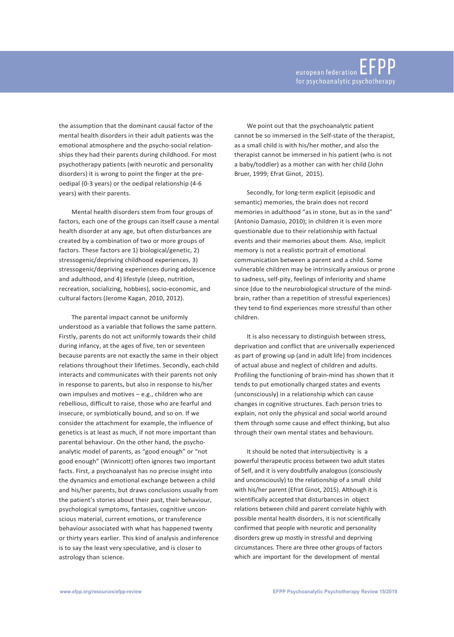the assumption that the dominant causal factor of the mental health disorders in their adult patients was the emotional atmosphere and the psycho-social relationships they had their parents during childhood. For most psychotherapy patients (with neurotic and personality disorders) it is wrong to point the finger at the preoedipal (0-3 years) or the oedipal relationship (4-6 years) with their parents.

Mental health disorders stem from four groups of factors, each one of the groups can itself cause a mental health disorder at any age, but often disturbances are created by a combination of two or more groups of factors. These factors are 1) biological/genetic, 2) stressogenic/depriving childhood experiences, 3) stressogenic/depriving experiences during adolescence and adulthood, and 4) lifestyle (sleep, nutrition, recreation, socializing, hobbies), socio-economic, and cultural factors (Jerome Kagan, 2010, 2012).

The parental impact cannot be uniformly understood as a variable that follows the same pattern. Firstly, parents do not act uniformly towards their child during infancy, at the ages of five, ten or seventeen because parents are not exactly the same in their object relations throughout their lifetimes. Secondly, each child interacts and communicates with their parents not only in response to parents, but also in response to his/her own impulses and motives – e.g., children who are rebellious, difficult to raise, those who are fearful and insecure, or symbiotically bound, and so on. If we consider the attachment for example, the influence of genetics is at least as much, if not more important than parental behaviour. On the other hand, the psychoanalytic model of parents, as "good enough" or "not good enough" (Winnicott) often ignores two important facts. First, a psychoanalyst has no precise insight into the dynamics and emotional exchange between a child and his/her parents, but draws conclusions usually from the patient's stories about their past, their behaviour, psychological symptoms, fantasies, cognitive unconscious material, current emotions, or transference behaviour associated with what has happened twenty or thirty years earlier. This kind of analysis andinference is to say the least very speculative, and is closer to astrology than science.

We point out that the psychoanalytic patient cannot be so immersed in the Self-state of the therapist, as a small child is with his/her mother, and also the therapist cannot be immersed in his patient (who is not a baby/toddler) as a mother can with her child (John Bruer, 1999; Efrat Ginot, 2015).

Secondly, for long-term explicit (episodic and semantic) memories, the brain does not record memories in adulthood "as in stone, but as in the sand" (Antonio Damasio, 2010); in children it is even more questionable due to their relationship with factual events and their memories about them. Also, implicit memory is not a realistic portrait of emotional communication between a parent and a child. Some vulnerable children may be intrinsically anxious or prone to sadness, self-pity, feelings of inferiority and shame since (due to the neurobiological structure of the mindbrain, rather than a repetition of stressful experiences) they tend to find experiences more stressful than other children.

It is also necessary to distinguish between stress, deprivation and conflict that are universally experienced as part of growing up (and in adult life) from incidences of actual abuse and neglect of children and adults. Profiling the functioning of brain-mind has shown that it tends to put emotionally charged states and events (unconsciously) in a relationship which can cause changes in cognitive structures. Each person tries to explain, not only the physical and social world around them through some cause and effect thinking, but also through their own mental states and behaviours.

It should be noted that intersubjectivity is a powerful therapeutic process between two adult states of Self, and it is very doubtfully analogous (consciously and unconsciously) to the relationship of a small child with his/her parent (Efrat Ginot, 2015). Although it is scientifically accepted that disturbances in object relations between child and parent correlate highly with possible mental health disorders, it is not scientifically confirmed that people with neurotic and personality disorders grew up mostly in stressful and depriving circumstances. There are three other groups of factors which are important for the development of mental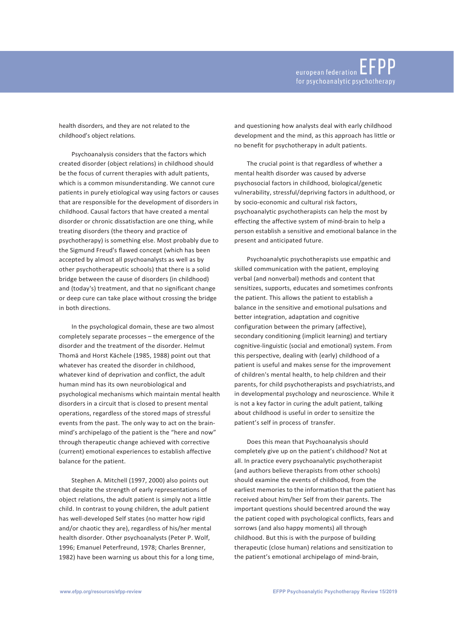health disorders, and they are not related to the childhood's object relations.

Psychoanalysis considers that the factors which created disorder (object relations) in childhood should be the focus of current therapies with adult patients, which is a common misunderstanding. We cannot cure patients in purely etiological way using factors or causes that are responsible for the development of disorders in childhood. Causal factors that have created a mental disorder or chronic dissatisfaction are one thing, while treating disorders (the theory and practice of psychotherapy) is something else. Most probably due to the Sigmund Freud's flawed concept (which has been accepted by almost all psychoanalysts as well as by other psychotherapeutic schools) that there is a solid bridge between the cause of disorders (in childhood) and (today's) treatment, and that no significant change or deep cure can take place without crossing the bridge in both directions.

In the psychological domain, these are two almost completely separate processes – the emergence of the disorder and the treatment of the disorder. Helmut Thomä and Horst Kächele (1985, 1988) point out that whatever has created the disorder in childhood, whatever kind of deprivation and conflict, the adult human mind has its own neurobiological and psychological mechanisms which maintain mental health disorders in a circuit that is closed to present mental operations, regardless of the stored maps of stressful events from the past. The only way to act on the brainmind's archipelago of the patient is the "here and now" through therapeutic change achieved with corrective (current) emotional experiences to establish affective balance for the patient.

Stephen A. Mitchell (1997, 2000) also points out that despite the strength of early representations of object relations, the adult patient is simply not a little child. In contrast to young children, the adult patient has well-developed Self states (no matter how rigid and/or chaotic they are), regardless of his/her mental health disorder. Other psychoanalysts (Peter P. Wolf, 1996; Emanuel Peterfreund, 1978; Charles Brenner, 1982) have been warning us about this for a long time, and questioning how analysts deal with early childhood development and the mind, as this approach has little or no benefit for psychotherapy in adult patients.

The crucial point is that regardless of whether a mental health disorder was caused by adverse psychosocial factors in childhood, biological/genetic vulnerability, stressful/depriving factors in adulthood, or by socio-economic and cultural risk factors, psychoanalytic psychotherapists can help the most by effecting the affective system of mind-brain to help a person establish a sensitive and emotional balance in the present and anticipated future.

Psychoanalytic psychotherapists use empathic and skilled communication with the patient, employing verbal (and nonverbal) methods and content that sensitizes, supports, educates and sometimes confronts the patient. This allows the patient to establish a balance in the sensitive and emotional pulsations and better integration, adaptation and cognitive configuration between the primary (affective), secondary conditioning (implicit learning) and tertiary cognitive-linguistic (social and emotional) system. From this perspective, dealing with (early) childhood of a patient is useful and makes sense for the improvement of children's mental health, to help children and their parents, for child psychotherapists and psychiatrists,and in developmental psychology and neuroscience. While it is not a key factor in curing the adult patient, talking about childhood is useful in order to sensitize the patient's self in process of transfer.

Does this mean that Psychoanalysis should completely give up on the patient's childhood? Not at all. In practice every psychoanalytic psychotherapist (and authors believe therapists from other schools) should examine the events of childhood, from the earliest memories to the information that the patient has received about him/her Self from their parents. The important questions should becentred around the way the patient coped with psychological conflicts, fears and sorrows (and also happy moments) all through childhood. But this is with the purpose of building therapeutic (close human) relations and sensitization to the patient's emotional archipelago of mind-brain,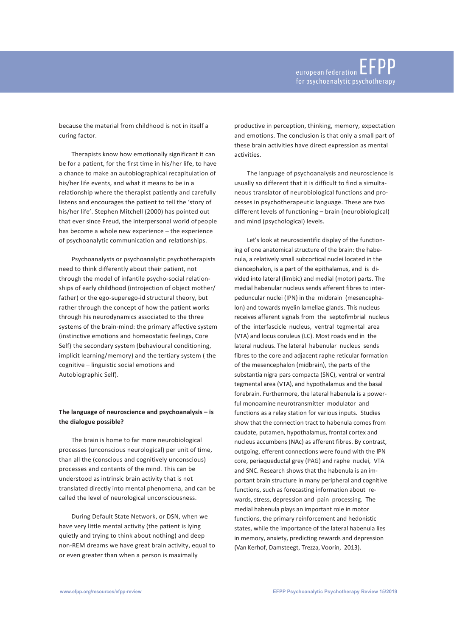because the material from childhood is not in itself a curing factor.

Therapists know how emotionally significant it can be for a patient, for the first time in his/her life, to have a chance to make an autobiographical recapitulation of his/her life events, and what it means to be in a relationship where the therapist patiently and carefully listens and encourages the patient to tell the 'story of his/her life'. Stephen Mitchell (2000) has pointed out that ever since Freud, the interpersonal world ofpeople has become a whole new experience – the experience of psychoanalytic communication and relationships.

Psychoanalysts or psychoanalytic psychotherapists need to think differently about their patient, not through the model of infantile psycho-social relationships of early childhood (introjection of object mother/ father) or the ego-superego-id structural theory, but rather through the concept of how the patient works through his neurodynamics associated to the three systems of the brain-mind: the primary affective system (instinctive emotions and homeostatic feelings, Core Self) the secondary system (behavioural conditioning, implicit learning/memory) and the tertiary system ( the cognitive – linguistic social emotions and Autobiographic Self).

# **The language of neuroscience and psychoanalysis – is the dialogue possible?**

The brain is home to far more neurobiological processes (unconscious neurological) per unit of time, than all the (conscious and cognitively unconscious) processes and contents of the mind. This can be understood as intrinsic brain activity that is not translated directly into mental phenomena, and can be called the level of neurological unconsciousness.

During Default State Network, or DSN, when we have very little mental activity (the patient is lying quietly and trying to think about nothing) and deep non-REM dreams we have great brain activity, equal to or even greater than when a person is maximally

productive in perception, thinking, memory, expectation and emotions. The conclusion is that only a small part of these brain activities have direct expression as mental activities.

The language of psychoanalysis and neuroscience is usually so different that it is difficult to find a simultaneous translator of neurobiological functions and processes in psychotherapeutic language. These are two different levels of functioning – brain (neurobiological) and mind (psychological) levels.

Let's look at neuroscientific display of the functioning of one anatomical structure of the brain: the habenula, a relatively small subcortical nuclei located in the diencephalon, is a part of the epithalamus, and is divided into lateral (limbic) and medial (motor) parts. The medial habenular nucleus sends afferent fibres to interpeduncular nuclei (IPN) in the midbrain (mesencephalon) and towards myelin lamellae glands. This nucleus receives afferent signals from the septofimbrial nucleus of the interfascicle nucleus, ventral tegmental area (VTA) and locus coruleus (LC). Most roads end in the lateral nucleus. The lateral habenular nucleus sends fibres to the core and adjacent raphe reticular formation of the mesencephalon (midbrain), the parts of the substantia nigra pars compacta (SNC), ventral or ventral tegmental area (VTA), and hypothalamus and the basal forebrain. Furthermore, the lateral habenula is a powerful monoamine neurotransmitter modulator and functions as a relay station for various inputs. Studies show that the connection tract to habenula comes from caudate, putamen, hypothalamus, frontal cortex and nucleus accumbens (NAc) as afferent fibres. By contrast, outgoing, efferent connections were found with the IPN core, periaqueductal grey (PAG) and raphe nuclei, VTA and SNC. Research shows that the habenula is an important brain structure in many peripheral and cognitive functions, such as forecasting information about rewards, stress, depression and pain processing. The medial habenula plays an important role in motor functions, the primary reinforcement and hedonistic states, while the importance of the lateral habenula lies in memory, anxiety, predicting rewards and depression (Van Kerhof, Damsteegt, Trezza, Voorin, 2013).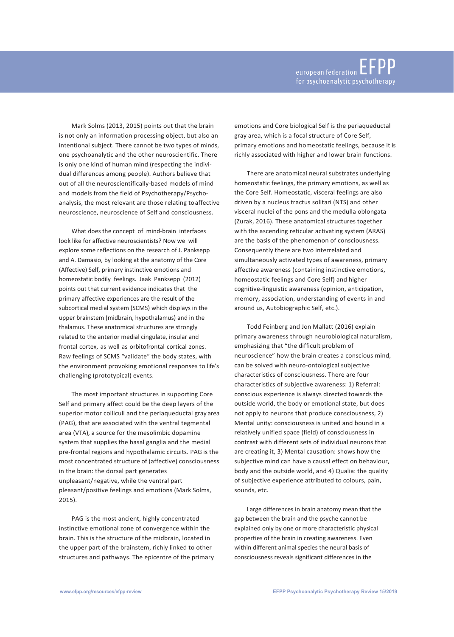Mark Solms (2013, 2015) points out that the brain is not only an information processing object, but also an intentional subject. There cannot be two types of minds, one psychoanalytic and the other neuroscientific. There is only one kind of human mind (respecting the individual differences among people). Authors believe that out of all the neuroscientifically-based models of mind and models from the field of Psychotherapy/Psychoanalysis, the most relevant are those relating toaffective neuroscience, neuroscience of Self and consciousness.

What does the concept of mind-brain interfaces look like for affective neuroscientists? Now we will explore some reflections on the research of J. Panksepp and A. Damasio, by looking at the anatomy of the Core (Affective) Self, primary instinctive emotions and homeostatic bodily feelings. Jaak Panksepp (2012) points out that current evidence indicates that the primary affective experiences are the result of the subcortical medial system (SCMS) which displays in the upper brainstem (midbrain, hypothalamus) and in the thalamus. These anatomical structures are strongly related to the anterior medial cingulate, insular and frontal cortex, as well as orbitofrontal cortical zones. Raw feelings of SCMS "validate" the body states, with the environment provoking emotional responses to life's challenging (prototypical) events.

The most important structures in supporting Core Self and primary affect could be the deep layers of the superior motor colliculi and the periaqueductal gray area (PAG), that are associated with the ventral tegmental area (VTA), a source for the mesolimbic dopamine system that supplies the basal ganglia and the medial pre-frontal regions and hypothalamic circuits. PAG is the most concentrated structure of (affective) consciousness in the brain: the dorsal part generates unpleasant/negative, while the ventral part pleasant/positive feelings and emotions (Mark Solms, 2015).

PAG is the most ancient, highly concentrated instinctive emotional zone of convergence within the brain. This is the structure of the midbrain, located in the upper part of the brainstem, richly linked to other structures and pathways. The epicentre of the primary emotions and Core biological Self is the periaqueductal gray area, which is a focal structure of Core Self, primary emotions and homeostatic feelings, because it is richly associated with higher and lower brain functions.

There are anatomical neural substrates underlying homeostatic feelings, the primary emotions, as well as the Core Self. Homeostatic, visceral feelings are also driven by a nucleus tractus solitari (NTS) and other visceral nuclei of the pons and the medulla oblongata (Zurak, 2016). These anatomical structures together with the ascending reticular activating system (ARAS) are the basis of the phenomenon of consciousness. Consequently there are two interrelated and simultaneously activated types of awareness, primary affective awareness (containing instinctive emotions, homeostatic feelings and Core Self) and higher cognitive-linguistic awareness (opinion, anticipation, memory, association, understanding of events in and around us, Autobiographic Self, etc.).

Todd Feinberg and Jon Mallatt (2016) explain primary awareness through neurobiological naturalism, emphasizing that "the difficult problem of neuroscience" how the brain creates a conscious mind, can be solved with neuro-ontological subjective characteristics of consciousness. There are four characteristics of subjective awareness: 1) Referral: conscious experience is always directed towards the outside world, the body or emotional state, but does not apply to neurons that produce consciousness, 2) Mental unity: consciousness is united and bound in a relatively unified space (field) of consciousness in contrast with different sets of individual neurons that are creating it, 3) Mental causation: shows how the subjective mind can have a causal effect on behaviour, body and the outside world, and 4) Qualia: the quality of subjective experience attributed to colours, pain, sounds, etc.

Large differences in brain anatomy mean that the gap between the brain and the psyche cannot be explained only by one or more characteristic physical properties of the brain in creating awareness. Even within different animal species the neural basis of consciousness reveals significant differences in the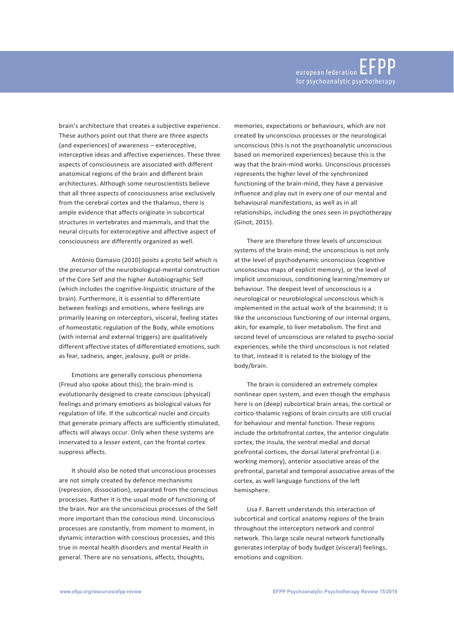brain's architecture that creates a subjective experience. These authors point out that there are three aspects (and experiences) of awareness – exteroceptive, interceptive ideas and affective experiences. These three aspects of consciousness are associated with different anatomical regions of the brain and different brain architectures. Although some neuroscientists believe that all three aspects of consciousness arise exclusively from the cerebral cortex and the thalamus, there is ample evidence that affects originate in subcortical structures in vertebrates and mammals, and that the neural circuits for exteroceptive and affective aspect of consciousness are differently organized as well.

António Damasio (2010) posits a proto Self which is the precursor of the neurobiological-mental construction of the Core Self and the higher Autobiographic Self (which includes the cognitive-linguistic structure of the brain). Furthermore, it is essential to differentiate between feelings and emotions, where feelings are primarily leaning on interceptors, visceral, feeling states of homeostatic regulation of the Body, while emotions (with internal and external triggers) are qualitatively different affective states of differentiated emotions, such as fear, sadness, anger, jealousy, guilt or pride.

Emotions are generally conscious phenomena (Freud also spoke about this); the brain-mind is evolutionarily designed to create conscious (physical) feelings and primary emotions as biological values for regulation of life. If the subcortical nuclei and circuits that generate primary affects are sufficiently stimulated, affects will always occur. Only when these systems are innervated to a lesser extent, can the frontal cortex suppress affects.

It should also be noted that unconscious processes are not simply created by defence mechanisms (repression, dissociation), separated from the conscious processes. Rather it is the usual mode of functioning of the brain. Nor are the unconscious processes of the Self more important than the conscious mind. Unconscious processes are constantly, from moment to moment, in dynamic interaction with conscious processes, and this true in mental health disorders and mental Health in general. There are no sensations, affects, thoughts,

memories, expectations or behaviours, which are not created by unconscious processes or the neurological unconscious (this is not the psychoanalytic unconscious based on memorized experiences) because this is the way that the brain-mind works. Unconscious processes represents the higher level of the synchronized functioning of the brain-mind, they have a pervasive influence and play out in every one of our mental and behavioural manifestations, as well as in all relationships, including the ones seen in psychotherapy (Ginot, 2015).

There are therefore three levels of unconscious systems of the brain-mind; the unconscious is not only at the level of psychodynamic unconscious (cognitive unconscious maps of explicit memory), or the level of implicit unconscious, conditioning learning/memory or behaviour. The deepest level of unconscious is a neurological or neurobiological unconscious which is implemented in the actual work of the brainmind; it is like the unconscious functioning of our internal organs, akin, for example, to liver metabolism. The first and second level of unconscious are related to psycho-social experiences, while the third unconscious is not related to that, instead it is related to the biology of the body/brain.

The brain is considered an extremely complex nonlinear open system, and even though the emphasis here is on (deep) subcortical brain areas, the cortical or cortico-thalamic regions of brain circuits are still crucial for behaviour and mental function. These regions include the orbitofrontal cortex, the anterior cingulate cortex, the insula, the ventral medial and dorsal prefrontal cortices, the dorsal lateral prefrontal (i.e. working memory), anterior associative areas of the prefrontal, parietal and temporal associative areas of the cortex, as well language functions of the left hemisphere.

Lisa F. Barrett understands this interaction of subcortical and cortical anatomy regions of the brain throughout the interceptors network and control network. This large scale neural network functionally generates interplay of body budget (visceral) feelings, emotions and cognition.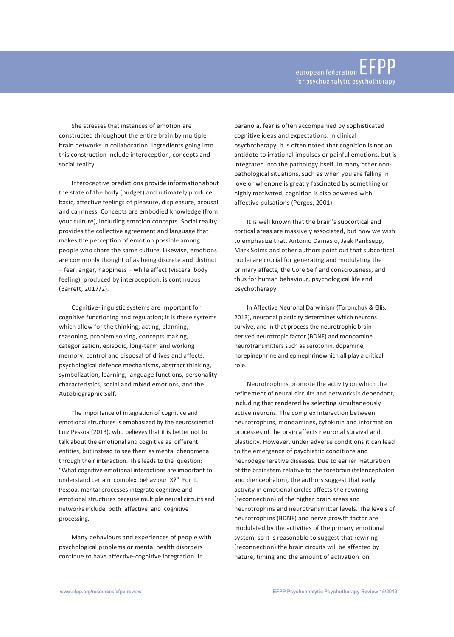She stresses that instances of emotion are constructed throughout the entire brain by multiple brain networks in collaboration. Ingredients going into this construction include interoception, concepts and social reality.

Interoceptive predictions provide informationabout the state of the body (budget) and ultimately produce basic, affective feelings of pleasure, displeasure, arousal and calmness. Concepts are embodied knowledge (from your culture), including emotion concepts. Social reality provides the collective agreement and language that makes the perception of emotion possible among people who share the same culture. Likewise, emotions are commonly thought of as being discrete and distinct – fear, anger, happiness – while affect (visceral body feeling), produced by interoception, is continuous (Barrett, 2017/2).

Cognitive-linguistic systems are important for cognitive functioning and regulation; it is these systems which allow for the thinking, acting, planning, reasoning, problem solving, concepts making, categorization, episodic, long-term and working memory, control and disposal of drives and affects, psychological defence mechanisms, abstract thinking, symbolization, learning, language functions, personality characteristics, social and mixed emotions, and the Autobiographic Self.

The importance of integration of cognitive and emotional structures is emphasized by the neuroscientist Luiz Pessoa (2013), who believes that it is better not to talk about the emotional and cognitive as different entities, but instead to see them as mental phenomena through their interaction. This leads to the question: "What cognitive emotional interactions are important to understand certain complex behaviour X?" For L. Pessoa, mental processes integrate cognitive and emotional structures because multiple neural circuits and networks include both affective and cognitive processing.

Many behaviours and experiences of people with psychological problems or mental health disorders continue to have affective-cognitive integration. In

paranoia, fear is often accompanied by sophisticated cognitive ideas and expectations. In clinical psychotherapy, it is often noted that cognition is not an antidote to irrational impulses or painful emotions, but is integrated into the pathology itself. In many other nonpathological situations, such as when you are falling in love or whenone is greatly fascinated by something or highly motivated, cognition is also powered with affective pulsations (Porges, 2001).

It is well known that the brain's subcortical and cortical areas are massively associated, but now we wish to emphasize that. Antonio Damasio, Jaak Panksepp, Mark Solms and other authors point out that subcortical nuclei are crucial for generating and modulating the primary affects, the Core Self and consciousness, and thus for human behaviour, psychological life and psychotherapy.

In Affective Neuronal Darwinism (Toronchuk & Ellis, 2013), neuronal plasticity determines which neurons survive, and in that process the neurotrophic brainderived neurotropic factor (BDNF) and monoamine neurotransmitters such as serotonin, dopamine, norepinephrine and epinephrinewhich all play a critical role.

Neurotrophins promote the activity on which the refinement of neural circuits and networks is dependant, including that rendered by selecting simultaneously active neurons. The complex interaction between neurotrophins, monoamines, cytokinin and information processes of the brain affects neuronal survival and plasticity. However, under adverse conditions it can lead to the emergence of psychiatric conditions and neurodegenerative diseases. Due to earlier maturation of the brainstem relative to the forebrain (telencephalon and diencephalon), the authors suggest that early activity in emotional circles affects the rewiring (reconnection) of the higher brain areas and neurotrophins and neurotransmitter levels. The levels of neurotrophins (BDNF) and nerve growth factor are modulated by the activities of the primary emotional system, so it is reasonable to suggest that rewiring (reconnection) the brain circuits will be affected by nature, timing and the amount of activation on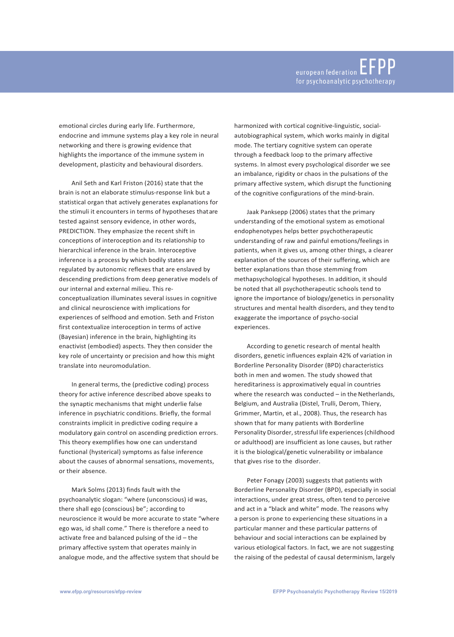emotional circles during early life. Furthermore, endocrine and immune systems play a key role in neural networking and there is growing evidence that highlights the importance of the immune system in development, plasticity and behavioural disorders.

Anil Seth and Karl Friston (2016) state that the brain is not an elaborate stimulus-response link but a statistical organ that actively generates explanations for the stimuli it encounters in terms of hypotheses thatare tested against sensory evidence, in other words, PREDICTION. They emphasize the recent shift in conceptions of interoception and its relationship to hierarchical inference in the brain. Interoceptive inference is a process by which bodily states are regulated by autonomic reflexes that are enslaved by descending predictions from deep generative models of our internal and external milieu. This reconceptualization illuminates several issues in cognitive and clinical neuroscience with implications for experiences of selfhood and emotion. Seth and Friston first contextualize interoception in terms of active (Bayesian) inference in the brain, highlighting its enactivist (embodied) aspects. They then consider the key role of uncertainty or precision and how this might translate into neuromodulation.

In general terms, the (predictive coding) process theory for active inference described above speaks to the synaptic mechanisms that might underlie false inference in psychiatric conditions. Briefly, the formal constraints implicit in predictive coding require a modulatory gain control on ascending prediction errors. This theory exemplifies how one can understand functional (hysterical) symptoms as false inference about the causes of abnormal sensations, movements, or their absence.

Mark Solms (2013) finds fault with the psychoanalytic slogan: "where (unconscious) id was, there shall ego (conscious) be"; according to neuroscience it would be more accurate to state "where ego was, id shall come." There is therefore a need to activate free and balanced pulsing of the id – the primary affective system that operates mainly in analogue mode, and the affective system that should be harmonized with cortical cognitive-linguistic, socialautobiographical system, which works mainly in digital mode. The tertiary cognitive system can operate through a feedback loop to the primary affective systems. In almost every psychological disorder we see an imbalance, rigidity or chaos in the pulsations of the primary affective system, which disrupt the functioning of the cognitive configurations of the mind-brain.

Jaak Panksepp (2006) states that the primary understanding of the emotional system as emotional endophenotypes helps better psychotherapeutic understanding of raw and painful emotions/feelings in patients, when it gives us, among other things, a clearer explanation of the sources of their suffering, which are better explanations than those stemming from methapsychological hypotheses. In addition, it should be noted that all psychotherapeutic schools tend to ignore the importance of biology/genetics in personality structures and mental health disorders, and they tendto exaggerate the importance of psycho-social experiences.

According to genetic research of mental health disorders, genetic influences explain 42% of variation in Borderline Personality Disorder (BPD) characteristics both in men and women. The study showed that hereditariness is approximatively equal in countries where the research was conducted – in the Netherlands, Belgium, and Australia (Distel, Trulli, Derom, Thiery, Grimmer, Martin, et al., 2008). Thus, the research has shown that for many patients with Borderline Personality Disorder, stressful life experiences (childhood or adulthood) are insufficient as lone causes, but rather it is the biological/genetic vulnerability or imbalance that gives rise to the disorder.

Peter Fonagy (2003) suggests that patients with Borderline Personality Disorder (BPD), especially in social interactions, under great stress, often tend to perceive and act in a "black and white" mode. The reasons why a person is prone to experiencing these situations in a particular manner and these particular patterns of behaviour and social interactions can be explained by various etiological factors. In fact, we are not suggesting the raising of the pedestal of causal determinism, largely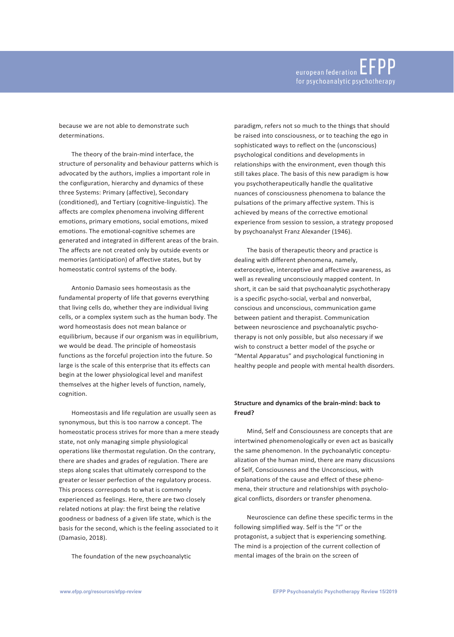because we are not able to demonstrate such determinations.

The theory of the brain-mind interface, the structure of personality and behaviour patterns which is advocated by the authors, implies a important role in the configuration, hierarchy and dynamics of these three Systems: Primary (affective), Secondary (conditioned), and Tertiary (cognitive-linguistic). The affects are complex phenomena involving different emotions, primary emotions, social emotions, mixed emotions. The emotional-cognitive schemes are generated and integrated in different areas of the brain. The affects are not created only by outside events or memories (anticipation) of affective states, but by homeostatic control systems of the body.

Antonio Damasio sees homeostasis as the fundamental property of life that governs everything that living cells do, whether they are individual living cells, or a complex system such as the human body. The word homeostasis does not mean balance or equilibrium, because if our organism was in equilibrium, we would be dead. The principle of homeostasis functions as the forceful projection into the future. So large is the scale of this enterprise that its effects can begin at the lower physiological level and manifest themselves at the higher levels of function, namely, cognition.

Homeostasis and life regulation are usually seen as synonymous, but this is too narrow a concept. The homeostatic process strives for more than a mere steady state, not only managing simple physiological operations like thermostat regulation. On the contrary, there are shades and grades of regulation. There are steps along scales that ultimately correspond to the greater or lesser perfection of the regulatory process. This process corresponds to what is commonly experienced as feelings. Here, there are two closely related notions at play: the first being the relative goodness or badness of a given life state, which is the basis for the second, which is the feeling associated to it (Damasio, 2018).

The foundation of the new psychoanalytic

paradigm, refers not so much to the things that should be raised into consciousness, or to teaching the ego in sophisticated ways to reflect on the (unconscious) psychological conditions and developments in relationships with the environment, even though this still takes place. The basis of this new paradigm is how you psychotherapeutically handle the qualitative nuances of consciousness phenomena to balance the pulsations of the primary affective system. This is achieved by means of the corrective emotional experience from session to session, a strategy proposed by psychoanalyst Franz Alexander (1946).

The basis of therapeutic theory and practice is dealing with different phenomena, namely, exteroceptive, interceptive and affective awareness, as well as revealing unconsciously mapped content. In short, it can be said that psychoanalytic psychotherapy is a specific psycho-social, verbal and nonverbal, conscious and unconscious, communication game between patient and therapist. Communication between neuroscience and psychoanalytic psychotherapy is not only possible, but also necessary if we wish to construct a better model of the psyche or "Mental Apparatus" and psychological functioning in healthy people and people with mental health disorders.

# **Structure and dynamics of the brain-mind: back to Freud?**

Mind, Self and Consciousness are concepts that are intertwined phenomenologically or even act as basically the same phenomenon. In the pychoanalytic conceptualization of the human mind, there are many discussions of Self, Consciousness and the Unconscious, with explanations of the cause and effect of these phenomena, their structure and relationships with psychological conflicts, disorders or transfer phenomena.

Neuroscience can define these specific terms in the following simplified way. Self is the "I" or the protagonist, a subject that is experiencing something. The mind is a projection of the current collection of mental images of the brain on the screen of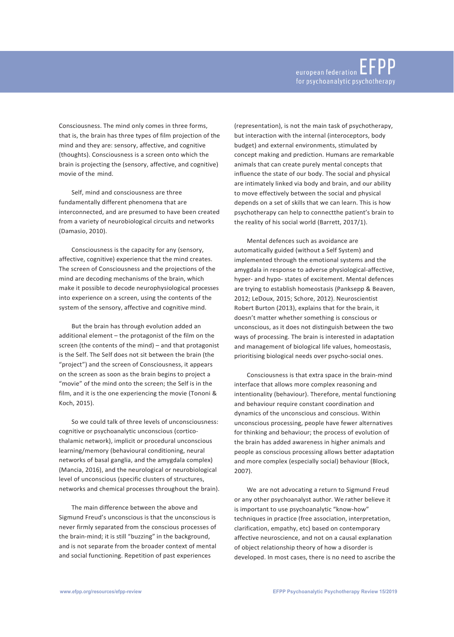Consciousness. The mind only comes in three forms, that is, the brain has three types of film projection of the mind and they are: sensory, affective, and cognitive (thoughts). Consciousness is a screen onto which the brain is projecting the (sensory, affective, and cognitive) movie of the mind.

Self, mind and consciousness are three fundamentally different phenomena that are interconnected, and are presumed to have been created from a variety of neurobiological circuits and networks (Damasio, 2010).

Consciousness is the capacity for any (sensory, affective, cognitive) experience that the mind creates. The screen of Consciousness and the projections of the mind are decoding mechanisms of the brain, which make it possible to decode neurophysiological processes into experience on a screen, using the contents of the system of the sensory, affective and cognitive mind.

But the brain has through evolution added an additional element – the protagonist of the film on the screen (the contents of the mind) – and that protagonist is the Self. The Self does not sit between the brain (the "project") and the screen of Consciousness, it appears on the screen as soon as the brain begins to project a "movie" of the mind onto the screen; the Self is in the film, and it is the one experiencing the movie (Tononi & Koch, 2015).

So we could talk of three levels of unconsciousness: cognitive or psychoanalytic unconscious (corticothalamic network), implicit or procedural unconscious learning/memory (behavioural conditioning, neural networks of basal ganglia, and the amygdala complex) (Mancia, 2016), and the neurological or neurobiological level of unconscious (specific clusters of structures, networks and chemical processes throughout the brain).

The main difference between the above and Sigmund Freud's unconscious is that the unconscious is never firmly separated from the conscious processes of the brain-mind; it is still "buzzing" in the background, and is not separate from the broader context of mental and social functioning. Repetition of past experiences

(representation), is not the main task of psychotherapy, but interaction with the internal (interoceptors, body budget) and external environments, stimulated by concept making and prediction. Humans are remarkable animals that can create purely mental concepts that influence the state of our body. The social and physical are intimately linked via body and brain, and our ability to move effectively between the social and physical depends on a set of skills that we can learn. This is how psychotherapy can help to connectthe patient's brain to the reality of his social world (Barrett, 2017/1).

Mental defences such as avoidance are automatically guided (without a Self System) and implemented through the emotional systems and the amygdala in response to adverse physiological-affective, hyper- and hypo- states of excitement. Mental defences are trying to establish homeostasis (Panksepp & Beaven, 2012; LeDoux, 2015; Schore, 2012). Neuroscientist Robert Burton (2013), explains that for the brain, it doesn't matter whether something is conscious or unconscious, as it does not distinguish between the two ways of processing. The brain is interested in adaptation and management of biological life values, homeostasis, prioritising biological needs over psycho-social ones.

Consciousness is that extra space in the brain-mind interface that allows more complex reasoning and intentionality (behaviour). Therefore, mental functioning and behaviour require constant coordination and dynamics of the unconscious and conscious. Within unconscious processing, people have fewer alternatives for thinking and behaviour; the process of evolution of the brain has added awareness in higher animals and people as conscious processing allows better adaptation and more complex (especially social) behaviour (Block, 2007).

We are not advocating a return to Sigmund Freud or any other psychoanalyst author. We rather believe it is important to use psychoanalytic "know-how" techniques in practice (free association, interpretation, clarification, empathy, etc) based on contemporary affective neuroscience, and not on a causal explanation of object relationship theory of how a disorder is developed. In most cases, there is no need to ascribe the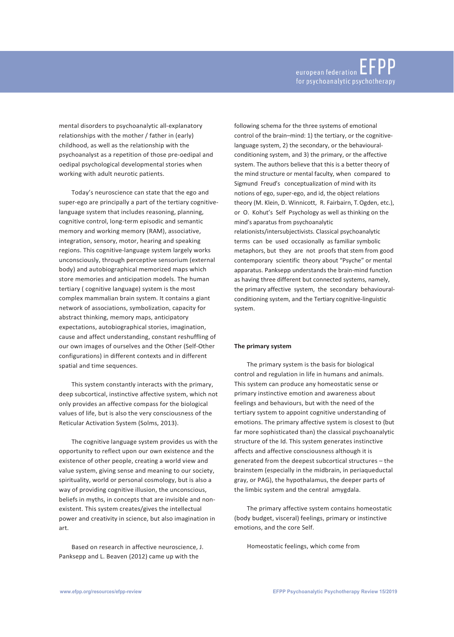mental disorders to psychoanalytic all-explanatory relationships with the mother / father in (early) childhood, as well as the relationship with the psychoanalyst as a repetition of those pre-oedipal and oedipal psychological developmental stories when working with adult neurotic patients.

Today's neuroscience can state that the ego and super-ego are principally a part of the tertiary cognitivelanguage system that includes reasoning, planning, cognitive control, long-term episodic and semantic memory and working memory (RAM), associative, integration, sensory, motor, hearing and speaking regions. This cognitive-language system largely works unconsciously, through perceptive sensorium (external body) and autobiographical memorized maps which store memories and anticipation models. The human tertiary ( cognitive language) system is the most complex mammalian brain system. It contains a giant network of associations, symbolization, capacity for abstract thinking, memory maps, anticipatory expectations, autobiographical stories, imagination, cause and affect understanding, constant reshuffling of our own images of ourselves and the Other (Self-Other configurations) in different contexts and in different spatial and time sequences.

This system constantly interacts with the primary, deep subcortical, instinctive affective system, which not only provides an affective compass for the biological values of life, but is also the very consciousness of the Reticular Activation System (Solms, 2013).

The cognitive language system provides us with the opportunity to reflect upon our own existence and the existence of other people, creating a world view and value system, giving sense and meaning to our society, spirituality, world or personal cosmology, but is also a way of providing cognitive illusion, the unconscious, beliefs in myths, in concepts that are invisible and nonexistent. This system creates/gives the intellectual power and creativity in science, but also imagination in art.

Based on research in affective neuroscience, J. Panksepp and L. Beaven (2012) came up with the

following schema for the three systems of emotional control of the brain–mind: 1) the tertiary, or the cognitivelanguage system, 2) the secondary, or the behaviouralconditioning system, and 3) the primary, or the affective system. The authors believe that this is a better theory of the mind structure or mental faculty, when compared to Sigmund Freud's conceptualization of mind with its notions of ego, super-ego, and id, the object relations theory (M. Klein, D. Winnicott, R. Fairbairn, T. Ogden, etc.), or O. Kohut's Self Psychology as well as thinking on the mind's aparatus from psychoanalytic relationists/intersubjectivists. Classical psychoanalytic terms can be used occasionally as familiar symbolic metaphors, but they are not proofs that stem from good contemporary scientific theory about "Psyche" or mental apparatus. Panksepp understands the brain-mind function as having three different but connected systems, namely, the primary affective system, the secondary behaviouralconditioning system, and the Tertiary cognitive-linguistic system.

## **The primary system**

The primary system is the basis for biological control and regulation in life in humans and animals. This system can produce any homeostatic sense or primary instinctive emotion and awareness about feelings and behaviours, but with the need of the tertiary system to appoint cognitive understanding of emotions. The primary affective system is closest to (but far more sophisticated than) the classical psychoanalytic structure of the Id. This system generates instinctive affects and affective consciousness although it is generated from the deepest subcortical structures – the brainstem (especially in the midbrain, in periaqueductal gray, or PAG), the hypothalamus, the deeper parts of the limbic system and the central amygdala.

The primary affective system contains homeostatic (body budget, visceral) feelings, primary or instinctive emotions, and the core Self.

Homeostatic feelings, which come from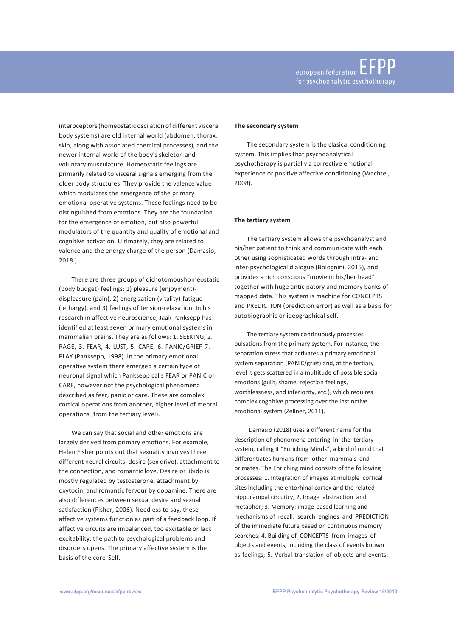interoceptors(homeostatic oscilation of different visceral body systems) are old internal world (abdomen, thorax, skin, along with associated chemical processes), and the newer internal world of the body's skeleton and voluntary musculature. Homeostatic feelings are primarily related to visceral signals emerging from the older body structures. They provide the valence value which modulates the emergence of the primary emotional operative systems. These feelings need to be distinguished from emotions. They are the foundation for the emergence of emotion, but also powerful modulators of the quantity and quality of emotional and cognitive activation. Ultimately, they are related to valence and the energy charge of the person (Damasio, 2018.)

There are three groups of dichotomoushomeostatic (body budget) feelings: 1) pleasure (enjoyment) displeasure (pain), 2) energization (vitality)-fatigue (lethargy), and 3) feelings of tension-relaxation. In his research in affective neuroscience, Jaak Panksepp has identified at least seven primary emotional systems in mammalian brains. They are as follows: 1. SEEKING, 2. RAGE, 3. FEAR, 4. LUST, 5. CARE, 6. PANIC/GRIEF 7. PLAY (Panksepp, 1998). In the primary emotional operative system there emerged a certain type of neuronal signal which Panksepp calls FEAR or PANIC or CARE, however not the psychological phenomena described as fear, panic or care. These are complex cortical operations from another, higher level of mental operations (from the tertiary level).

We can say that social and other emotions are largely derived from primary emotions. For example, Helen Fisher points out that sexuality involves three different neural circuits: desire (sex drive), attachment to the connection, and romantic love. Desire or libido is mostly regulated by testosterone, attachment by oxytocin, and romantic fervour by dopamine. There are also differences between sexual desire and sexual satisfaction (Fisher, 2006). Needless to say, these affective systems function as part of a feedback loop. If affective circuits are imbalanced, too excitable or lack excitability, the path to psychological problems and disorders opens. The primary affective system is the basis of the core Self.

### **The secondary system**

The secondary system is the clasical conditioning system. This implies that psychoanalytical psychotherapy is partially a corrective emotional experience or positive affective conditioning (Wachtel, 2008).

### **The tertiary system**

The tertiary system allows the psychoanalyst and his/her patient to think and communicate with each other using sophisticated words through intra- and inter-psychological dialogue (Bolognini, 2015), and provides a rich conscious "movie in his/her head" together with huge anticipatory and memory banks of mapped data. This system is machine for CONCEPTS and PREDICTION (prediction error) as well as a basis for autobiographic or ideographical self.

The tertiary system continuously processes pulsations from the primary system. For instance, the separation stress that activates a primary emotional system separation (PANIC/grief) and, at the tertiary level it gets scattered in a multitude of possible social emotions (guilt, shame, rejection feelings, worthlessness, and inferiority, etc.), which requires complex cognitive processing over the instinctive emotional system (Zellner, 2011).

Damasio (2018) uses a different name for the description of phenomena entering in the tertiary system, calling it "Enriching Minds", a kind of mind that differentiates humans from other mammals and primates. The Enriching mind consists of the following processes: 1. Integration of images at multiple cortical sites including the entorhinal cortex and the related hippocampal circuitry; 2. Image abstraction and metaphor; 3. Memory: image-based learning and mechanisms of recall, search engines and PREDICTION of the immediate future based on continuous memory searches; 4. Building of CONCEPTS from images of objects and events, including the class of events known as feelings; 5. Verbal translation of objects and events;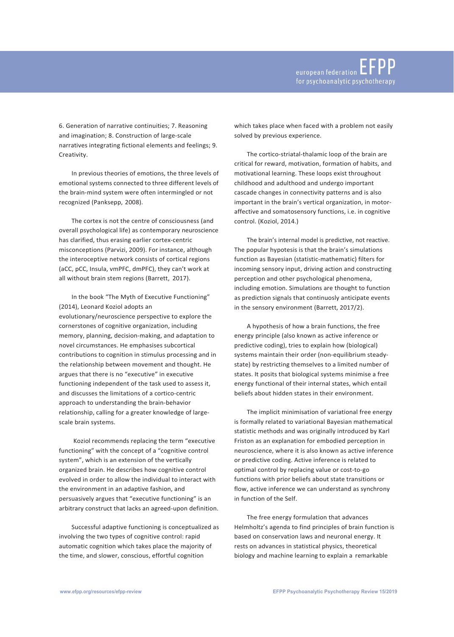6. Generation of narrative continuities; 7. Reasoning and imagination; 8. Construction of large-scale narratives integrating fictional elements and feelings; 9. Creativity.

In previous theories of emotions, the three levels of emotional systems connected to three different levels of the brain-mind system were often intermingled or not recognized (Panksepp, 2008).

The cortex is not the centre of consciousness (and overall psychological life) as contemporary neuroscience has clarified, thus erasing earlier cortex-centric misconceptions (Parvizi, 2009). For instance, although the interoceptive network consists of cortical regions (aCC, pCC, Insula, vmPFC, dmPFC), they can't work at all without brain stem regions (Barrett, 2017).

In the book "The Myth of Executive Functioning" (2014), Leonard Koziol adopts an evolutionary/neuroscience perspective to explore the cornerstones of cognitive organization, including memory, planning, decision-making, and adaptation to novel circumstances. He emphasises subcortical contributions to cognition in stimulus processing and in the relationship between movement and thought. He argues that there is no "executive" in executive functioning independent of the task used to assess it, and discusses the limitations of a cortico-centric approach to understanding the brain-behavior relationship, calling for a greater knowledge of largescale brain systems.

Koziol recommends replacing the term "executive functioning" with the concept of a "cognitive control system", which is an extension of the vertically organized brain. He describes how cognitive control evolved in order to allow the individual to interact with the environment in an adaptive fashion, and persuasively argues that "executive functioning" is an arbitrary construct that lacks an agreed-upon definition.

Successful adaptive functioning is conceptualized as involving the two types of cognitive control: rapid automatic cognition which takes place the majority of the time, and slower, conscious, effortful cognition

which takes place when faced with a problem not easily solved by previous experience.

The cortico-striatal-thalamic loop of the brain are critical for reward, motivation, formation of habits, and motivational learning. These loops exist throughout childhood and adulthood and undergo important cascade changes in connectivity patterns and is also important in the brain's vertical organization, in motoraffective and somatosensory functions, i.e. in cognitive control. (Koziol, 2014.)

The brain's internal model is predictive, not reactive. The popular hypotesis is that the brain's simulations function as Bayesian (statistic-mathematic) filters for incoming sensory input, driving action and constructing perception and other psychological phenomena, including emotion. Simulations are thought to function as prediction signals that continuosly anticipate events in the sensory environment (Barrett, 2017/2).

A hypothesis of how a brain functions, the free energy principle (also known as active inference or predictive coding), tries to explain how (biological) systems maintain their order (non-equilibrium steadystate) by restricting themselves to a limited number of states. It posits that biological systems minimise a free energy functional of their internal states, which entail beliefs about hidden states in their environment.

The implicit minimisation of variational free energy is formally related to variational Bayesian mathematical statistic methods and was originally introduced by Karl Friston as an explanation for embodied perception in neuroscience, where it is also known as active inference or predictive coding. Active inference is related to optimal control by replacing value or cost-to-go functions with prior beliefs about state transitions or flow, active inference we can understand as synchrony in function of the Self.

The free energy formulation that advances Helmholtz's agenda to find principles of brain function is based on conservation laws and neuronal energy. It rests on advances in statistical physics, theoretical biology and machine learning to explain a remarkable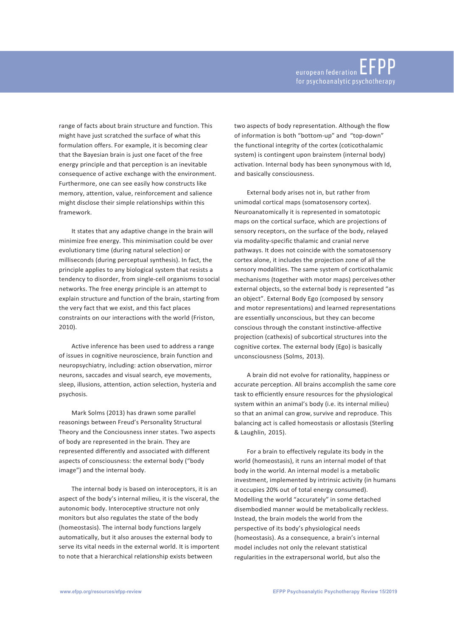range of facts about brain structure and function. This might have just scratched the surface of what this formulation offers. For example, it is becoming clear that the Bayesian brain is just one facet of the free energy principle and that perception is an inevitable consequence of active exchange with the environment. Furthermore, one can see easily how constructs like memory, attention, value, reinforcement and salience might disclose their simple relationships within this framework.

It states that any adaptive change in the brain will minimize free energy. This minimisation could be over evolutionary time (during natural selection) or milliseconds (during perceptual synthesis). In fact, the principle applies to any biological system that resists a tendency to disorder, from single-cell organisms tosocial networks. The free energy principle is an attempt to explain structure and function of the brain, starting from the very fact that we exist, and this fact places constraints on our interactions with the world (Friston, 2010).

Active inference has been used to address a range of issues in cognitive neuroscience, brain function and neuropsychiatry, including: action observation, mirror neurons, saccades and visual search, eye movements, sleep, illusions, attention, action selection, hysteria and psychosis.

Mark Solms (2013) has drawn some parallel reasonings between Freud's Personality Structural Theory and the Conciousness inner states. Two aspects of body are represented in the brain. They are represented differently and associated with different aspects of consciousness: the external body ("body image") and the internal body.

The internal body is based on interoceptors, it is an aspect of the body's internal milieu, it is the visceral, the autonomic body. Interoceptive structure not only monitors but also regulates the state of the body (homeostasis). The internal body functions largely automatically, but it also arouses the external body to serve its vital needs in the external world. It is importent to note that a hierarchical relationship exists between

two aspects of body representation. Although the flow of information is both "bottom-up" and "top-down" the functional integrity of the cortex (coticothalamic system) is contingent upon brainstem (internal body) activation. Internal body has been synonymous with Id, and basically consciousness.

External body arises not in, but rather from unimodal cortical maps (somatosensory cortex). Neuroanatomically it is represented in somatotopic maps on the cortical surface, which are projections of sensory receptors, on the surface of the body, relayed via modality-specific thalamic and cranial nerve pathways. It does not coincide with the somatosensory cortex alone, it includes the projection zone of all the sensory modalities. The same system of corticothalamic mechanisms (together with motor maps) perceivesother external objects, so the external body is represented "as an object". External Body Ego (composed by sensory and motor representations) and learned representations are essentially unconscious, but they can become conscious through the constant instinctive-affective projection (cathexis) of subcortical structures into the cognitive cortex. The external body (Ego) is basically unconsciousness (Solms, 2013).

A brain did not evolve for rationality, happiness or accurate perception. All brains accomplish the same core task to efficiently ensure resources for the physiological system within an animal's body (i.e. its internal milieu) so that an animal can grow, survive and reproduce. This balancing act is called homeostasis or allostasis (Sterling & Laughlin, 2015).

For a brain to effectively regulate its body in the world (homeostasis), it runs an internal model of that body in the world. An internal model is a metabolic investment, implemented by intrinsic activity (in humans it occupies 20% out of total energy consumed). Modelling the world "accurately" in some detached disembodied manner would be metabolically reckless. Instead, the brain models the world from the perspective of its body's physiological needs (homeostasis). As a consequence, a brain's internal model includes not only the relevant statistical regularities in the extrapersonal world, but also the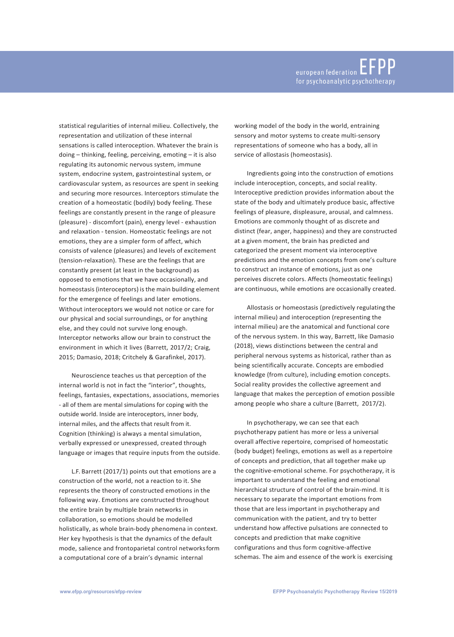statistical regularities of internal milieu. Collectively, the representation and utilization of these internal sensations is called interoception. Whatever the brain is doing – thinking, feeling, perceiving, emoting – it is also regulating its autonomic nervous system, immune system, endocrine system, gastrointestinal system, or cardiovascular system, as resources are spent in seeking and securing more resources. Interceptors stimulate the creation of a homeostatic (bodily) body feeling. These feelings are constantly present in the range of pleasure (pleasure) - discomfort (pain), energy level - exhaustion and relaxation - tension. Homeostatic feelings are not emotions, they are a simpler form of affect, which consists of valence (pleasures) and levels of excitement (tension-relaxation). These are the feelings that are constantly present (at least in the background) as opposed to emotions that we have occasionally, and homeostasis(interoceptors) isthe main building element for the emergence of feelings and later emotions. Without interoceptors we would not notice or care for our physical and social surroundings, or for anything else, and they could not survive long enough. Interceptor networks allow our brain to construct the environment in which it lives (Barrett, 2017/2; Craig, 2015; Damasio, 2018; Critchely & Garafinkel, 2017).

Neuroscience teaches us that perception of the internal world is not in fact the "interior", thoughts, feelings, fantasies, expectations, associations, memories - all of them are mental simulations for coping with the outside world. Inside are interoceptors, inner body, internal miles, and the affects that result from it. Cognition (thinking) is always a mental simulation, verbally expressed or unexpressed, created through language or images that require inputs from the outside.

L.F. Barrett (2017/1) points out that emotions are a construction of the world, not a reaction to it. She represents the theory of constructed emotions in the following way. Emotions are constructed throughout the entire brain by multiple brain networks in collaboration, so emotions should be modelled holistically, as whole brain-body phenomena in context. Her key hypothesis is that the dynamics of the default mode, salience and frontoparietal control networksform a computational core of a brain's dynamic internal

working model of the body in the world, entraining sensory and motor systems to create multi-sensory representations of someone who has a body, all in service of allostasis (homeostasis).

Ingredients going into the construction of emotions include interoception, concepts, and social reality. Interoceptive prediction provides information about the state of the body and ultimately produce basic, affective feelings of pleasure, displeasure, arousal, and calmness. Emotions are commonly thought of as discrete and distinct (fear, anger, happiness) and they are constructed at a given moment, the brain has predicted and categorized the present moment via interoceptive predictions and the emotion concepts from one's culture to construct an instance of emotions, just as one perceives discrete colors. Affects (homeostatic feelings) are continuous, while emotions are occasionally created.

Allostasis or homeostasis (predictively regulatingthe internal milieu) and interoception (representing the internal milieu) are the anatomical and functional core of the nervous system. In this way, Barrett, like Damasio (2018), views distinctions between the central and peripheral nervous systems as historical, rather than as being scientifically accurate. Concepts are embodied knowledge (from culture), including emotion concepts. Social reality provides the collective agreement and language that makes the perception of emotion possible among people who share a culture (Barrett, 2017/2).

In psychotherapy, we can see that each psychotherapy patient has more or less a universal overall affective repertoire, comprised of homeostatic (body budget) feelings, emotions as well as a repertoire of concepts and prediction, that all together make up the cognitive-emotional scheme. For psychotherapy, it is important to understand the feeling and emotional hierarchical structure of control of the brain-mind. It is necessary to separate the important emotions from those that are less important in psychotherapy and communication with the patient, and try to better understand how affective pulsations are connected to concepts and prediction that make cognitive configurations and thus form cognitive-affective schemas. The aim and essence of the work is exercising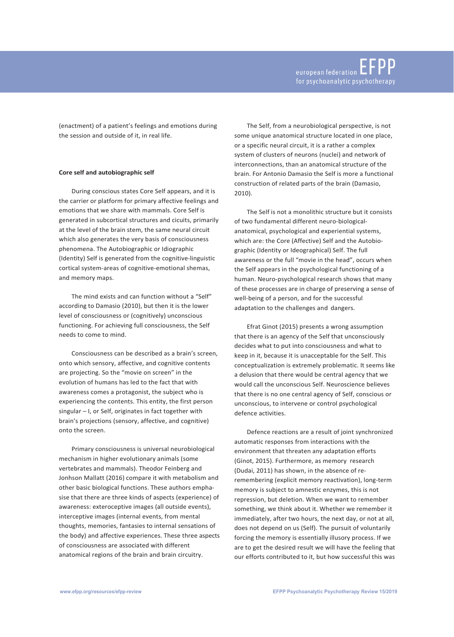(enactment) of a patient's feelings and emotions during the session and outside of it, in real life.

## **Core self and autobiographic self**

During conscious states Core Self appears, and it is the carrier or platform for primary affective feelings and emotions that we share with mammals. Core Self is generated in subcortical structures and cicuits, primarily at the level of the brain stem, the same neural circuit which also generates the very basis of consciousness phenomena. The Autobiographic or Idiographic (Identity) Self is generated from the cognitive-linguistic cortical system-areas of cognitive-emotional shemas, and memory maps.

The mind exists and can function without a "Self" according to Damasio (2010), but then it is the lower level of consciousness or (cognitively) unconscious functioning. For achieving full consciousness, the Self needs to come to mind.

Consciousness can be described as a brain's screen, onto which sensory, affective, and cognitive contents are projecting. So the "movie on screen" in the evolution of humans has led to the fact that with awareness comes a protagonist, the subject who is experiencing the contents. This entity, the first person singular – I, or Self, originates in fact together with brain's projections (sensory, affective, and cognitive) onto the screen.

Primary consciousness is universal neurobiological mechanism in higher evolutionary animals (some vertebrates and mammals). Theodor Feinberg and Jonhson Mallatt (2016) compare it with metabolism and other basic biological functions. These authors emphasise that there are three kinds of aspects (experience) of awareness: exteroceptive images (all outside events), interceptive images (internal events, from mental thoughts, memories, fantasies to internal sensations of the body) and affective experiences. These three aspects of consciousness are associated with different anatomical regions of the brain and brain circuitry.

The Self, from a neurobiological perspective, is not some unique anatomical structure located in one place, or a specific neural circuit, it is a rather a complex system of clusters of neurons (nuclei) and network of interconnections, than an anatomical structure of the brain. For Antonio Damasio the Self is more a functional construction of related parts of the brain (Damasio, 2010).

The Self is not a monolithic structure but it consists of two fundamental different neuro-biologicalanatomical, psychological and experiential systems, which are: the Core (Affective) Self and the Autobiographic (Identity or Ideographical) Self. The full awareness or the full "movie in the head", occurs when the Self appears in the psychological functioning of a human. Neuro-psychological research shows that many of these processes are in charge of preserving a sense of well-being of a person, and for the successful adaptation to the challenges and dangers.

Efrat Ginot (2015) presents a wrong assumption that there is an agency of the Self that unconsciously decides what to put into consciousness and what to keep in it, because it is unacceptable for the Self. This conceptualization is extremely problematic. It seems like a delusion that there would be central agency that we would call the unconscious Self. Neuroscience believes that there is no one central agency of Self, conscious or unconscious, to intervene or control psychological defence activities.

Defence reactions are a result of joint synchronized automatic responses from interactions with the environment that threaten any adaptation efforts (Ginot, 2015). Furthermore, as memory research (Dudai, 2011) has shown, in the absence of reremembering (explicit memory reactivation), long-term memory is subject to amnestic enzymes, this is not repression, but deletion. When we want to remember something, we think about it. Whether we remember it immediately, after two hours, the next day, or not at all, does not depend on us (Self). The pursuit of voluntarily forcing the memory is essentially illusory process. If we are to get the desired result we will have the feeling that our efforts contributed to it, but how successful this was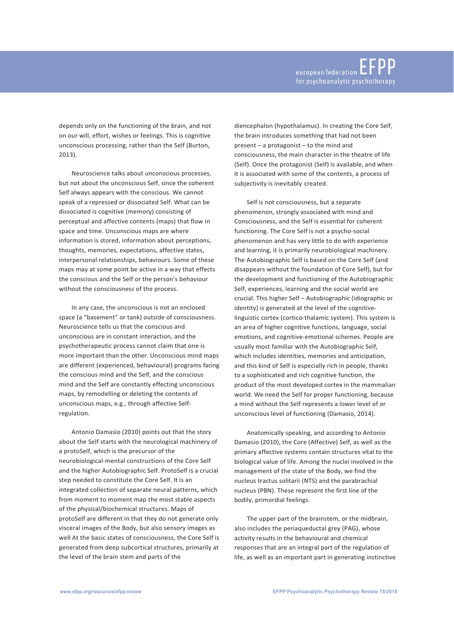depends only on the functioning of the brain, and not on our will, effort, wishes or feelings. This is cognitive unconscious processing, rather than the Self (Burton, 2013).

Neuroscience talks about unconscious processes, but not about the unconscious Self, since the coherent Self always appears with the conscious. We cannot speak of a repressed or dissociated Self. What can be dissociated is cognitive (memory) consisting of perceptual and affective contents (maps) that flow in space and time. Unconscious maps are where information is stored, information about perceptions, thoughts, memories, expectations, affective states, interpersonal relationships, behaviours. Some of these maps may at some point be active in a way that effects the conscious and the Self or the person's behaviour without the consciousness of the process.

In any case, the unconscious is not an enclosed space (a "basement" or tank) outside of consciousness. Neuroscience tells us that the conscious and unconscious are in constant interaction, and the psychotherapeutic process cannot claim that one is more important than the other. Unconscious mind maps are different (experienced, behavioural) programs facing the conscious mind and the Self, and the conscious mind and the Self are constantly effecting unconscious maps, by remodelling or deleting the contents of unconscious maps, e.g., through affective Selfregulation.

Antonio Damasio (2010) points out that the story about the Self starts with the neurological machinery of a protoSelf, which is the precursor of the neurobiological-mental constructions of the Core Self and the higher Autobiographic Self. ProtoSelf is a crucial step needed to constitute the Core Self. It is an integrated collection of separate neural patterns, which from moment to moment map the most stable aspects of the physical/biochemical structures. Maps of protoSelf are different in that they do not generate only visceral images of the Body, but also sensory images as well At the basic states of consciousness, the Core Self is generated from deep subcortical structures, primarily at the level of the brain stem and parts of the

diencephalon (hypothalamus). In creating the Core Self, the brain introduces something that had not been present – a protagonist – to the mind and consciousness, the main character in the theatre of life (Self). Once the protagonist (Self) is available, and when it is associated with some of the contents, a process of subjectivity is inevitably created.

Self is not consciousness, but a separate phenomenon, strongly associated with mind and Consciousness, and the Self is essential for coherent functioning. The Core Self is not a psycho-social phenomenon and has very little to do with experience and learning, it is primarily neurobiological machinery. The Autobiographic Self is based on the Core Self (and disappears without the foundation of Core Self), but for the development and functioning of the Autobiographic Self, experiences, learning and the social world are crucial. This higher Self – Autobiographic (idiographic or identity) is generated at the level of the cognitivelinguistic cortex (cortico-thalamic system). This system is an area of higher cognitive functions, language, social emotions, and cognitive-emotional schemes. People are usually most familiar with the Autobiographic Self, which includes identities, memories and anticipation, and this kind of Self is especially rich in people, thanks to a sophisticated and rich cognitive function, the product of the most developed cortex in the mammalian world. We need the Self for proper functioning, because a mind without the Self represents a lower level of or unconscious level of functioning (Damasio, 2014).

Anatomically speaking, and according to Antonio Damasio (2010), the Core (Affective) Self, as well as the primary affective systems contain structures vital to the biological value of life. Among the nuclei involved in the management of the state of the Body, we find the nucleus tractus solitarii (NTS) and the parabrachial nucleus (PBN). These represent the first line of the bodily, primordial feelings.

The upper part of the brainstem, or the midbrain, also includes the periaqueductal grey (PAG), whose activity results in the behavioural and chemical responses that are an integral part of the regulation of life, as well as an important part in generating instinctive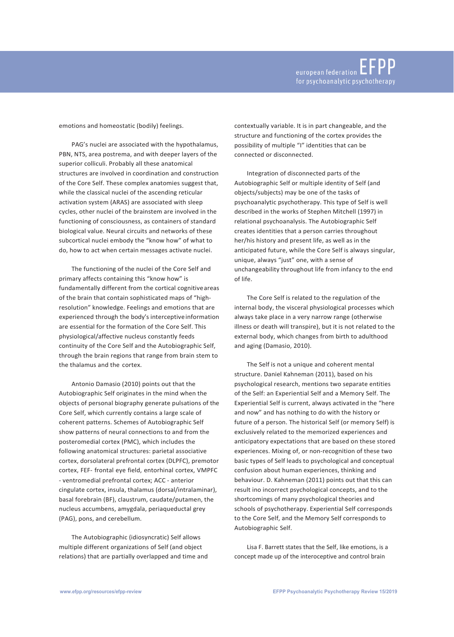emotions and homeostatic (bodily) feelings.

PAG's nuclei are associated with the hypothalamus, PBN, NTS, area postrema, and with deeper layers of the superior colliculi. Probably all these anatomical structures are involved in coordination and construction of the Core Self. These complex anatomies suggest that, while the classical nuclei of the ascending reticular activation system (ARAS) are associated with sleep cycles, other nuclei of the brainstem are involved in the functioning of consciousness, as containers of standard biological value. Neural circuits and networks of these subcortical nuclei embody the "know how" of what to do, how to act when certain messages activate nuclei.

The functioning of the nuclei of the Core Self and primary affects containing this "know how" is fundamentally different from the cortical cognitiveareas of the brain that contain sophisticated maps of "highresolution" knowledge. Feelings and emotions that are experienced through the body's interceptiveinformation are essential for the formation of the Core Self. This physiological/affective nucleus constantly feeds continuity of the Core Self and the Autobiographic Self, through the brain regions that range from brain stem to the thalamus and the cortex.

Antonio Damasio (2010) points out that the Autobiographic Self originates in the mind when the objects of personal biography generate pulsations of the Core Self, which currently contains a large scale of coherent patterns. Schemes of Autobiographic Self show patterns of neural connections to and from the posteromedial cortex (PMC), which includes the following anatomical structures: parietal associative cortex, dorsolateral prefrontal cortex (DLPFC), premotor cortex, FEF- frontal eye field, entorhinal cortex, VMPFC - ventromedial prefrontal cortex; ACC - anterior cingulate cortex, insula, thalamus (dorsal/intralaminar), basal forebrain (BF), claustrum, caudate/putamen, the nucleus accumbens, amygdala, periaqueductal grey (PAG), pons, and cerebellum.

The Autobiographic (idiosyncratic) Self allows multiple different organizations of Self (and object relations) that are partially overlapped and time and contextually variable. It is in part changeable, and the structure and functioning of the cortex provides the possibility of multiple "I" identities that can be connected or disconnected.

Integration of disconnected parts of the Autobiographic Self or multiple identity of Self (and objects/subjects) may be one of the tasks of psychoanalytic psychotherapy. This type of Self is well described in the works of Stephen Mitchell (1997) in relational psychoanalysis. The Autobiographic Self creates identities that a person carries throughout her/his history and present life, as well as in the anticipated future, while the Core Self is always singular, unique, always "just" one, with a sense of unchangeability throughout life from infancy to the end of life.

The Core Self is related to the regulation of the internal body, the visceral physiological processes which always take place in a very narrow range (otherwise illness or death will transpire), but it is not related to the external body, which changes from birth to adulthood and aging (Damasio, 2010).

The Self is not a unique and coherent mental structure. Daniel Kahneman (2011), based on his psychological research, mentions two separate entities of the Self: an Experiential Self and a Memory Self. The Experiential Self is current, always activated in the "here and now" and has nothing to do with the history or future of a person. The historical Self (or memory Self) is exclusively related to the memorized experiences and anticipatory expectations that are based on these stored experiences. Mixing of, or non-recognition of these two basic types of Self leads to psychological and conceptual confusion about human experiences, thinking and behaviour. D. Kahneman (2011) points out that this can result ino incorrect psychological concepts, and to the shortcomings of many psychological theories and schools of psychotherapy. Experiential Self corresponds to the Core Self, and the Memory Self corresponds to Autobiographic Self.

Lisa F. Barrett states that the Self, like emotions, is a concept made up of the interoceptive and control brain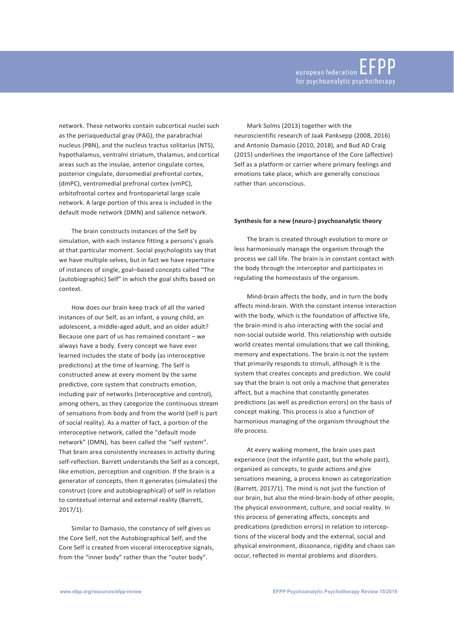network. These networks contain subcortical nuclei such as the periaqueductal gray (PAG), the parabrachial nucleus (PBN), and the nucleus tractus solitarius (NTS), hypothalamus, ventralni striatum, thalamus, and cortical areas such as the insulae, anterior cingulate cortex, posterior cingulate, dorsomedial prefrontal cortex, (dmPC), ventromedial prefronal cortex (vmPC), orbitofrontal cortex and frontoparietal large scale network. A large portion of this area is included in the default mode network (DMN) and salience network.

The brain constructs instances of the Self by simulation, with each instance fitting a persons's goals at that particular moment. Social psychologists say that we have multiple selves, but in fact we have repertoire of instances of single, goal–based concepts called "The (autobiographic) Self" in which the goal shifts based on context.

How does our brain keep track of all the varied instances of our Self, as an infant, a young child, an adolescent, a middle-aged adult, and an older adult? Because one part of us has remained constant – we always have a body. Every concept we have ever learned includes the state of body (as interoceptive predictions) at the time of learning. The Self is constructed anew at every moment by the same predictive, core system that constructs emotion, including pair of networks (interoceptive and control), among others, as they categorize the continuous stream of sensations from body and from the world (self is part of social reality). As a matter of fact, a portion of the interoceptive network, called the "default mode network" (DMN), has been called the "self system". That brain area consistently increases in activity during self-reflection. Barrett understands the Self as a concept, like emotion, perception and cognition. If the brain is a generator of concepts, then it generates (simulates) the construct (core and autobiographical) of self in relation to contextual internal and external reality (Barrett, 2017/1).

Similar to Damasio, the constancy of self gives us the Core Self, not the Autobiographical Self, and the Core Self is created from visceral interoceptive signals, from the "inner body" rather than the "outer body".

Mark Solms (2013) together with the neuroscientific research of Jaak Panksepp (2008, 2016) and Antonio Damasio (2010, 2018), and Bud AD Craig (2015) underlines the importance of the Core (affective) Self as a platform or carrier where primary feelings and emotions take place, which are generally conscious rather than unconscious.

### **Synthesis for a new (neuro-) psychoanalytic theory**

The brain is created through evolution to more or less harmoniously manage the organism through the process we call life. The brain is in constant contact with the body through the interceptor and participates in regulating the homeostasis of the organism.

Mind-brain affects the body, and in turn the body affects mind-brain. With the constant intense interaction with the body, which is the foundation of affective life, the brain-mind is also interacting with the social and non-social outside world. This relationship with outside world creates mental simulations that we call thinking, memory and expectations. The brain is not the system that primarily responds to stimuli, although it is the system that creates concepts and prediction. We could say that the brain is not only a machine that generates affect, but a machine that constantly generates predictions (as well as prediction errors) on the basis of concept making. This process is also a function of harmonious managing of the organism throughout the life process.

At every waking moment, the brain uses past experience (not the infantile past, but the whole past), organized as concepts, to guide actions and give sensations meaning, a process known as categorization (Barrett, 2017/1). The mind is not just the function of our brain, but also the mind-brain-body of other people, the physical environment, culture, and social reality. In this process of generating affects, concepts and predications (prediction errors) in relation to interceptions of the visceral body and the external, social and physical environment, dissonance, rigidity and chaos can occur, reflected in mental problems and disorders.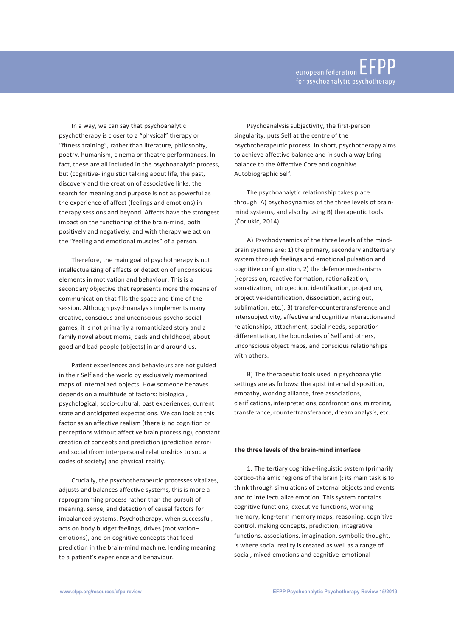In a way, we can say that psychoanalytic psychotherapy is closer to a "physical" therapy or "fitness training", rather than literature, philosophy, poetry, humanism, cinema or theatre performances. In fact, these are all included in the psychoanalytic process, but (cognitive-linguistic) talking about life, the past, discovery and the creation of associative links, the search for meaning and purpose is not as powerful as the experience of affect (feelings and emotions) in therapy sessions and beyond. Affects have the strongest impact on the functioning of the brain-mind, both positively and negatively, and with therapy we act on the "feeling and emotional muscles" of a person.

Therefore, the main goal of psychotherapy is not intellectualizing of affects or detection of unconscious elements in motivation and behaviour. This is a secondary objective that represents more the means of communication that fills the space and time of the session. Although psychoanalysis implements many creative, conscious and unconscious psycho-social games, it is not primarily a romanticized story and a family novel about moms, dads and childhood, about good and bad people (objects) in and around us.

Patient experiences and behaviours are not guided in their Self and the world by exclusively memorized maps of internalized objects. How someone behaves depends on a multitude of factors: biological, psychological, socio-cultural, past experiences, current state and anticipated expectations. We can look at this factor as an affective realism (there is no cognition or perceptions without affective brain processing), constant creation of concepts and prediction (prediction error) and social (from interpersonal relationships to social codes of society) and physical reality.

Crucially, the psychotherapeutic processes vitalizes, adjusts and balances affective systems, this is more a reprogramming process rather than the pursuit of meaning, sense, and detection of causal factors for imbalanced systems. Psychotherapy, when successful, acts on body budget feelings, drives (motivation– emotions), and on cognitive concepts that feed prediction in the brain-mind machine, lending meaning to a patient's experience and behaviour.

Psychoanalysis subjectivity, the first-person singularity, puts Self at the centre of the psychotherapeutic process. In short, psychotherapy aims to achieve affective balance and in such a way bring balance to the Affective Core and cognitive Autobiographic Self.

The psychoanalytic relationship takes place through: A) psychodynamics of the three levels of brainmind systems, and also by using B) therapeutic tools (Čorlukić, 2014).

A) Psychodynamics of the three levels of the mindbrain systems are: 1) the primary, secondary andtertiary system through feelings and emotional pulsation and cognitive configuration, 2) the defence mechanisms (repression, reactive formation, rationalization, somatization, introjection, identification, projection, projective-identification, dissociation, acting out, sublimation, etc.), 3) transfer-countertransference and intersubjectivity, affective and cognitive interactions and relationships, attachment, social needs, separationdifferentiation, the boundaries of Self and others, unconscious object maps, and conscious relationships with others.

B) The therapeutic tools used in psychoanalytic settings are as follows: therapist internal disposition, empathy, working alliance, free associations, clarifications, interpretations, confrontations, mirroring, transferance, countertransferance, dream analysis, etc.

#### **The three levels of the brain-mind interface**

1. The tertiary cognitive-linguistic system (primarily cortico-thalamic regions of the brain ): its main task is to think through simulations of external objects and events and to intellectualize emotion. This system contains cognitive functions, executive functions, working memory, long-term memory maps, reasoning, cognitive control, making concepts, prediction, integrative functions, associations, imagination, symbolic thought, is where social reality is created as well as a range of social, mixed emotions and cognitive emotional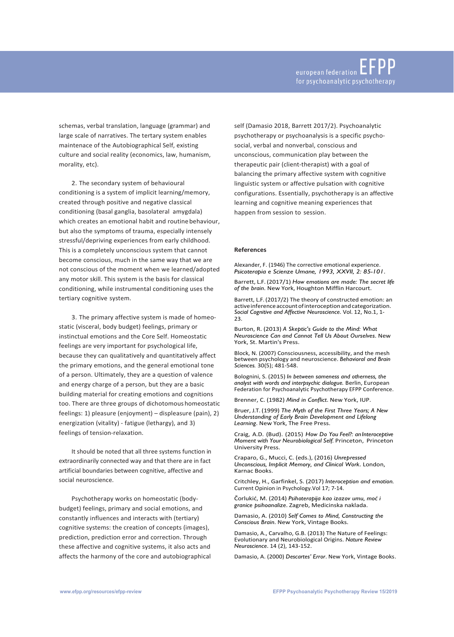schemas, verbal translation, language (grammar) and large scale of narratives. The tertary system enables maintenace of the Autobiographical Self, existing culture and social reality (economics, law, humanism, morality, etc).

2. The secondary system of behavioural conditioning is a system of implicit learning/memory, created through positive and negative classical conditioning (basal ganglia, basolateral amygdala) which creates an emotional habit and routine behaviour, but also the symptoms of trauma, especially intensely stressful/depriving experiences from early childhood. This is a completely unconscious system that cannot become conscious, much in the same way that we are not conscious of the moment when we learned/adopted any motor skill. This system is the basis for classical conditioning, while instrumental conditioning uses the tertiary cognitive system.

3. The primary affective system is made of homeostatic (visceral, body budget) feelings, primary or instinctual emotions and the Core Self. Homeostatic feelings are very important for psychological life, because they can qualitatively and quantitatively affect the primary emotions, and the general emotional tone of a person. Ultimately, they are a question of valence and energy charge of a person, but they are a basic building material for creating emotions and cognitions too. There are three groups of dichotomoushomeostatic feelings: 1) pleasure (enjoyment) – displeasure (pain), 2) energization (vitality) - fatigue (lethargy), and 3) feelings of tension-relaxation.

It should be noted that all three systems function in extraordinarily connected way and that there are in fact artificial boundaries between cognitive, affective and social neuroscience.

Psychotherapy works on homeostatic (bodybudget) feelings, primary and social emotions, and constantly influences and interacts with (tertiary) cognitive systems: the creation of concepts (images), prediction, prediction error and correction. Through these affective and cognitive systems, it also acts and affects the harmony of the core and autobiographical self (Damasio 2018, Barrett 2017/2). Psychoanalytic psychotherapy or psychoanalysis is a specific psychosocial, verbal and nonverbal, conscious and unconscious, communication play between the therapeutic pair (client-therapist) with a goal of balancing the primary affective system with cognitive linguistic system or affective pulsation with cognitive configurations. Essentially, psychotherapy is an affective learning and cognitive meaning experiences that happen from session to session.

#### **References**

Alexander, F. (1946) The corrective emotional experience. *Psicoterapia e Scienze Umane, 1993, XXVII, 2: 85-101*.

Barrett, L.F. (2017/1) *How emotions are made: The secret life of the brain*. New York, Houghton Mifflin Harcourt.

Barrett, L.F. (2017/2) The theory of constructed emotion: an activeinferenceaccountofinteroceptionandcategorization. *Social Cognitive and Affective Neuroscience*. Vol. 12, No.1, 1- 23.

Burton, R. (2013) *A Skeptic's Guide to the Mind: What Neuroscience Can and Cannot Tell Us About Ourselves*. New York, St. Martin's Press.

Block, N. (2007) Consciousness, accessibility, and the mesh between psychology and neuroscience. *Behavioral and Brain Sciences.* 30(5); 481-548.

Bolognini, S. (2015) *In between sameness and otherness, the analyst with words and interpsychic dialogue.* Berlin, European Federation for Psychoanalytic Psychotherapy EFPP Conference.

Brenner, C. (1982) *Mind in Conflict*. New York, IUP.

Bruer, J.T. (1999) *The Myth of the First Three Years; A New Understanding of Early Brain Development and Lifelong Learning*. New York, The Free Press.

Craig, A.D. (Bud). (2015) *How Do You Feel?: anInteroceptive Moment with Your Neurobiological Self.* Princeton, Princeton University Press.

Craparo, G., Mucci, C. (eds.), (2016) *Unrepressed Unconscious, Implicit Memory, and Clinical Work*. London, Karnac Books.

Critchley, H., Garfinkel, S. (2017) *Interoception and emotion.* Current Opinion in Psychology.Vol 17; 7-14.

Čorlukić, M. (2014) *Psihoterapija kao izazov umu, moć i granice psihoanalize*. Zagreb, Medicinska naklada.

Damasio, A. (2010) *Self Comes to Mind, Constructing the Conscious Brain*. New York, Vintage Books.

Damasio, A., Carvalho, G.B. (2013) The Nature of Feelings: Evolutionary and Neurobiological Origins. *Nature Review Neuroscience*. 14 (2), 143-152.

Damasio, A. (2000) *Descartes' Error*. New York, Vintage Books.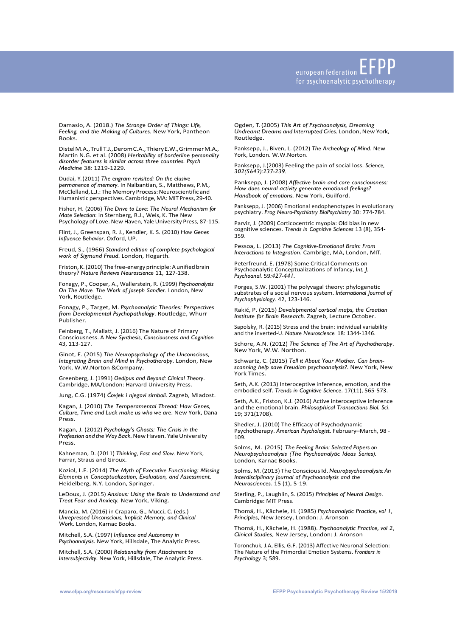Damasio, A. (2018.) *The Strange Order of Things: Life, Feeling, and the Making of Cultures.* New York, Pantheon Books.

DistelM.A.,TrullT.J.,DeromC.A.,ThieryE.W.,GrimmerM.A., Martin N.G. et al. (2008) *Heritability of borderline personality disorder features is similar across three countries. Psych Medicine* 38: 1219-1229.

Dudai, Y. (2011) *The engram revisited: On the elusive permanence of memory*. In Nalbantian, S., Matthews, P.M., McClelland, L.J.: The Memory Process:Neuroscientific and Humanistic perspectives.Cambridge, MA: MIT Press,29-40.

Fisher, H. (2006) *The Drive to Love: The Neural Mechanism for Mate Selection*: in Sternberg, R.J., Weis, K. The New Psychology of Love. New Haven, Yale University Press, 87-115.

Flint, J., Greenspan, R. J., Kendler, K. S. (2010) *How Genes Influence Behavior*. Oxford, UP.

Freud, S., (1966) *Standard edition of complete psychological work of Sigmund Freud*. London, Hogarth.

Friston, K. (2010) The free-energy principle: A unified brain theory? *Nature Reviews Neuroscience* 11, 127-138.

Fonagy, P., Cooper, A., Wallerstein, R. (1999) *Psychoanalysis On The Move. The Work of Joseph Sandler.* London, New York, Routledge.

Fonagy, P., Target, M. *Psychoanalytic Theories: Perspectives from Developmental Psychopathology*. Routledge, Whurr Publisher.

Feinberg, T., Mallatt, J. (2016) The Nature of Primary Consciousness. A *New Synthesis, Consciousness and Cognition*  43, 113-127.

Ginot, E. (2015) *The Neuropsychology of the Unconscious, Integrating Brain and Mind in Psychotherapy*. London, New York, W.W.Norton &Company.

Greenberg, J. (1991) *Oedipus and Beyond: Clinical Theory*. Cambridge, MA/London: Harvard University Press.

Jung, C.G. (1974) *Čovjek i njegovi simboli*. Zagreb, Mladost.

Kagan, J. (2010) *The Temperamental Thread: How Genes, Culture, Time and Luck make us who we are*. New York, Dana Press.

Kagan, J. (2012) *Psychology's Ghosts: The Crisis in the Profession and the Way Back.*New Haven. YaleUniversity Press.

Kahneman, D. (2011) *Thinking, Fast and Slow.* New York, Farrar, Straus and Giroux.

Koziol, L.F. (2014) *The Myth of Executive Functioning: Missing Elements in Conceptualization, Evaluation, and Assessment*. Heidelberg, N.Y. London, Springer.

LeDoux, J. (2015) *Anxious: Using the Brain to Understand and Treat Fear and Anxiety.* New York, Viking.

Mancia, M. (2016) in Craparo, G., Mucci, C. (eds.) *Unrepressed Unconscious, Implicit Memory, and Clinical Work*. London, Karnac Books.

Mitchell, S.A. (1997) *Influence and Autonomy in Psychoanalysis*. New York, Hillsdale, The Analytic Press.

Mitchell, S.A. (2000) *Relationality from Attachment to Intersubjectivity*. New York, Hillsdale, The Analytic Press. Ogden, T. (2005) *This Art of Psychoanalysis, Dreaming Undreamt Dreams and Interrupted Cries.* London, New York, Routledge.

Panksepp, J., Biven, L. (2012) *The Archeology of Mind*. New York, London. W.W.Norton.

Panksepp, J.(2003) Feeling the pain of social loss. *Science, 302(5643):237-239.*

Panksepp, J. (2008) *Affective brain and core consciousness: How does neural activity generate emotional feelings? Handbook of emotions.* New York, Guilford.

Panksepp, J. (2006) Emotional endophenotypes in evolutionary psychiatry. *Prog Neuro-Psychiatry BioPsychiatry* 30: 774-784.

Parviz, J. (2009) Corticocentric myopia: Old bias in new cognitive sciences. *Trends in Cognitive Sciences* 13 (8), 354- 359.

Pessoa, L. (2013) *The Cognitive-Emotional Brain: From Interactions to Integration*. Cambrige, MA, London, MIT.

Peterfreund, E. (1978) Some Critical Comments on Psychoanalytic Conceptualizations of Infancy, *Int. J. Psychoanal.* 59*:427-441.*

Porges, S.W. (2001) The polyvagal theory: phylogenetic substrates of a social nervous system. *International Journal of Psychophysiology.* 42, 123-146.

Rakić, P. (2015) *Developmental cortical maps, the Croatian Institute for Brain Research*. Zagreb, Lecture October.

Sapolsky, R. (2015) Stress and the brain: individual variability and the inverted-U. *Nature Neuroscience.* 18: 1344-1346.

Schore, A.N. (2012) *The Science of The Art of Psychotherapy*. New York, W.W. Northon.

Schwartz, C. (2015) *Tell it About Your Mother. Can brainscanning help save Freudian psychoanalysis?*. New York, New York Times.

Seth, A.K. (2013) Interoceptive inference, emotion, and the embodied self. *Trends in Cognitive Science*. 17(11), 565-573.

Seth, A.K., Friston, K.J. (2016) Active interoceptive inference and the emotional brain. *Philosophical Transactions Biol. Sci*. 19; 371(1708).

Shedler, J. (2010) The Efficacy of Psychodynamic Psychotherapy. *American Psychologist*. February–March, 98 - 109.

Solms, M. (2015) *The Feeling Brain: Selected Papers on Neuropsychoanalysis (The Psychoanalytic Ideas Series).*  London, Karnac Books.

Solms, M. (2013) The Conscious Id. Neuropsychoanalysis: An *Interdisciplinary Journal of Psychoanalysis and the Neurosciences*. 15 (1), 5-19.

Sterling, P., Laughlin, S. (2015) *Principles of Neural Design*. Cambridge: MIT Press.

Thomä, H., Kächele, H. (1985) *Psychoanalytic Practice*, *vol 1, Principles*, New Jersey, London: J. Aronson

Thomä, H., Kächele, H. (1988). *Psychoanalytic Practice*, *vol 2*, *Clinical Studies*, New Jersey, London: J. Aronson

Toronchuk, J.A, Ellis, G.F. (2013) Affective Neuronal Selection: The Nature of the Primordial Emotion Systems. *Frontiers in Psychology* 3; 589.